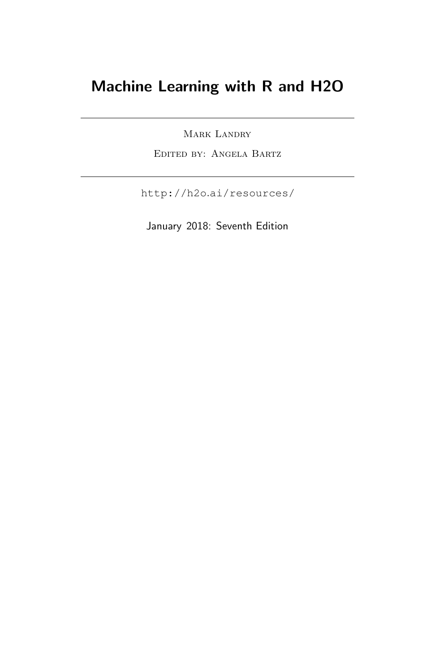# Machine Learning with R and H2O

MARK LANDRY

Edited by: Angela Bartz

http://h2o.[ai/resources/](http://h2o.ai/resources/)

January 2018: Seventh Edition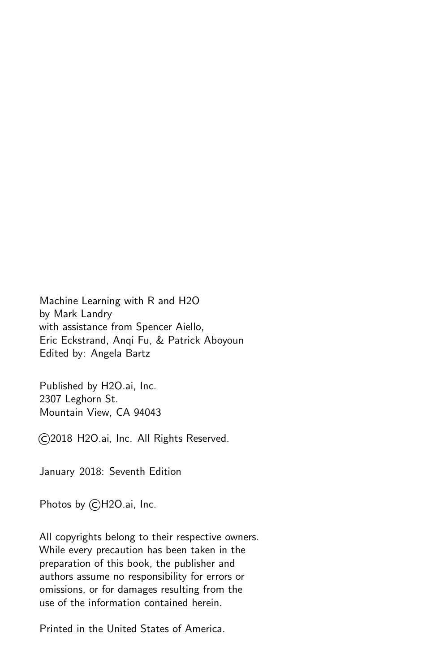Machine Learning with R and H2O by Mark Landry with assistance from Spencer Aiello, Eric Eckstrand, Anqi Fu, & Patrick Aboyoun Edited by: Angela Bartz

Published by H2O.ai, Inc. 2307 Leghorn St. Mountain View, CA 94043

©2018 H2O.ai, Inc. All Rights Reserved.

January 2018: Seventh Edition

Photos by ©H2O.ai, Inc.

All copyrights belong to their respective owners. While every precaution has been taken in the preparation of this book, the publisher and authors assume no responsibility for errors or omissions, or for damages resulting from the use of the information contained herein.

Printed in the United States of America.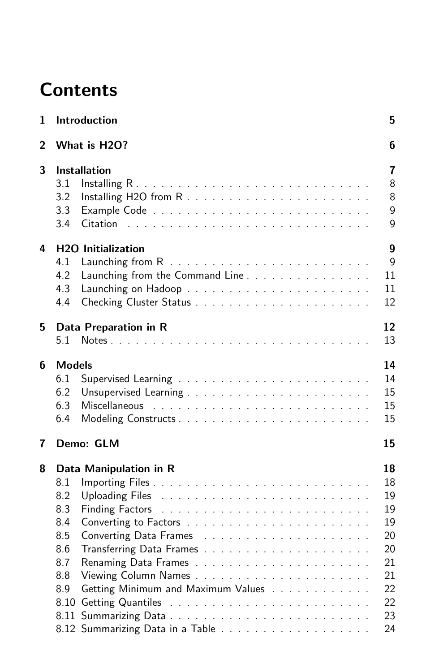# **Contents**

| 1 |               | Introduction                                                                                                   | 5                |
|---|---------------|----------------------------------------------------------------------------------------------------------------|------------------|
| 2 |               | What is H2O?                                                                                                   | 6                |
| 3 |               | <b>Installation</b>                                                                                            | 7                |
|   | 3.1           |                                                                                                                | 8                |
|   | 3.2           |                                                                                                                | 8                |
|   | 3.3           |                                                                                                                | 9                |
|   | 3.4           | Citation                                                                                                       | 9                |
| 4 |               | <b>H2O</b> Initialization                                                                                      | $\boldsymbol{9}$ |
|   | 4.1           |                                                                                                                | 9                |
|   | 4.2           | Launching from the Command Line                                                                                | 11               |
|   | 4.3           |                                                                                                                | 11               |
|   | 4.4           |                                                                                                                | 12               |
| 5 |               | Data Preparation in R                                                                                          | 12               |
|   | 5.1           |                                                                                                                | 13               |
| 6 | <b>Models</b> |                                                                                                                | 14               |
|   | 6.1           |                                                                                                                | 14               |
|   | 6.2           |                                                                                                                | 15               |
|   | 6.3           |                                                                                                                | 15               |
|   | 6.4           |                                                                                                                | 15               |
| 7 |               | Demo: GLM                                                                                                      | 15               |
| 8 |               | Data Manipulation in R                                                                                         | 18               |
|   | 8.1           |                                                                                                                | 18               |
|   | 8.2           | Uploading Files Theory Albert Albert Albert Albert Albert Albert Albert Albert Albert Albert Albert Albert Alb | 19               |
|   | 8.3           |                                                                                                                | 19               |
|   | 8.4           |                                                                                                                | 19               |
|   | 8.5           |                                                                                                                | 20               |
|   | 8.6           |                                                                                                                | 20               |
|   | 8.7           |                                                                                                                | 21               |
|   | 8.8           |                                                                                                                | 21               |
|   | 8.9           | Getting Minimum and Maximum Values                                                                             | 22               |
|   | 8.10          |                                                                                                                | 22               |
|   |               |                                                                                                                | 23               |
|   |               |                                                                                                                | 24               |
|   |               |                                                                                                                |                  |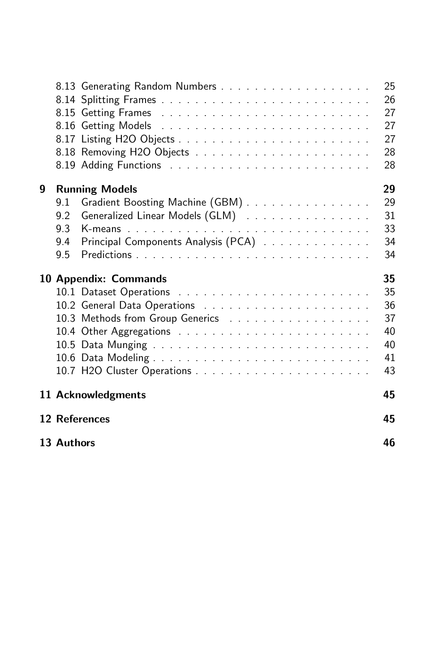|   |     |                                     | 25<br>26<br>27<br>27<br>27<br>28<br>28 |
|---|-----|-------------------------------------|----------------------------------------|
| 9 |     | <b>Running Models</b>               | 29                                     |
|   | 9.1 | Gradient Boosting Machine (GBM)     | 29                                     |
|   | 9.2 | Generalized Linear Models (GLM)     | 31                                     |
|   | 9.3 |                                     | 33                                     |
|   | 9.4 | Principal Components Analysis (PCA) | 34                                     |
|   | 9.5 |                                     | 34                                     |
|   |     |                                     |                                        |
|   |     |                                     |                                        |
|   |     | 10 Appendix: Commands               | 35                                     |
|   |     |                                     | 35<br>36                               |
|   |     |                                     | 37                                     |
|   |     | 10.3 Methods from Group Generics    | 40                                     |
|   |     |                                     | 40                                     |
|   |     |                                     | 41                                     |
|   |     |                                     | 43                                     |
|   |     | 11 Acknowledgments                  | 45                                     |
|   |     | 12 References                       | 45                                     |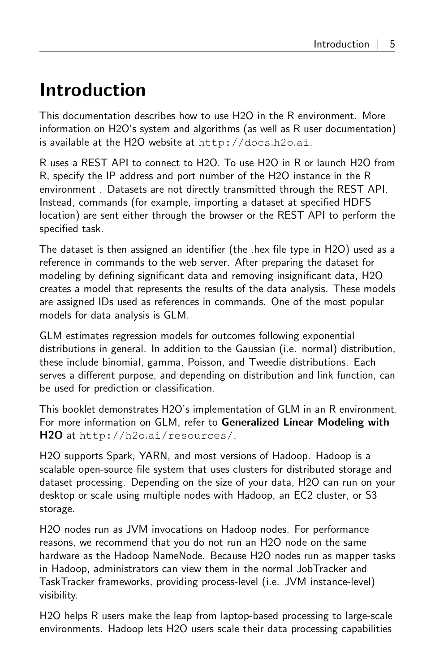# <span id="page-4-0"></span>Introduction

This documentation describes how to use H2O in the R environment. More information on H2O's system and algorithms (as well as R user documentation) is available at the H2O website at [http://docs](http://docs.h2o.ai).h2o.ai.

R uses a REST API to connect to H2O. To use H2O in R or launch H2O from R, specify the IP address and port number of the H2O instance in the R environment . Datasets are not directly transmitted through the REST API. Instead, commands (for example, importing a dataset at specified HDFS location) are sent either through the browser or the REST API to perform the specified task.

The dataset is then assigned an identifier (the .hex file type in H2O) used as a reference in commands to the web server. After preparing the dataset for modeling by defining significant data and removing insignificant data, H2O creates a model that represents the results of the data analysis. These models are assigned IDs used as references in commands. One of the most popular models for data analysis is GLM.

GLM estimates regression models for outcomes following exponential distributions in general. In addition to the Gaussian (i.e. normal) distribution, these include binomial, gamma, Poisson, and Tweedie distributions. Each serves a different purpose, and depending on distribution and link function, can be used for prediction or classification.

This booklet demonstrates H2O's implementation of GLM in an R environment. For more information on GLM, refer to Generalized Linear Modeling with H2O at http://h2o.[ai/resources/](http://h2o.ai/resources/).

H2O supports Spark, YARN, and most versions of Hadoop. Hadoop is a scalable open-source file system that uses clusters for distributed storage and dataset processing. Depending on the size of your data, H2O can run on your desktop or scale using multiple nodes with Hadoop, an EC2 cluster, or S3 storage.

H2O nodes run as JVM invocations on Hadoop nodes. For performance reasons, we recommend that you do not run an H2O node on the same hardware as the Hadoop NameNode. Because H2O nodes run as mapper tasks in Hadoop, administrators can view them in the normal JobTracker and TaskTracker frameworks, providing process-level (i.e. JVM instance-level) visibility.

H2O helps R users make the leap from laptop-based processing to large-scale environments. Hadoop lets H2O users scale their data processing capabilities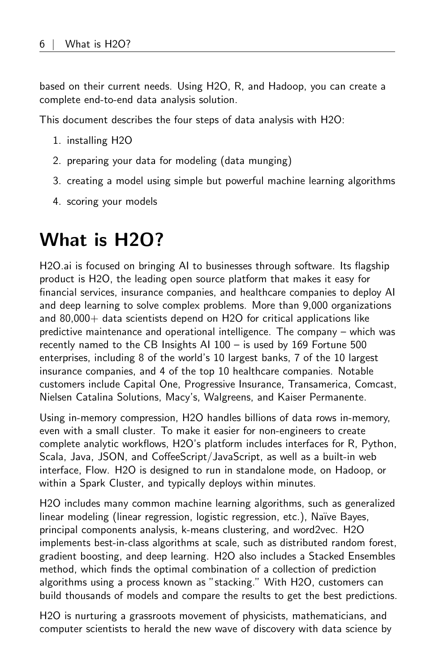based on their current needs. Using H2O, R, and Hadoop, you can create a complete end-to-end data analysis solution.

This document describes the four steps of data analysis with H2O:

- 1. installing H2O
- 2. preparing your data for modeling (data munging)
- 3. creating a model using simple but powerful machine learning algorithms
- <span id="page-5-0"></span>4. scoring your models

# What is H2O?

H2O.ai is focused on bringing AI to businesses through software. Its flagship product is H2O, the leading open source platform that makes it easy for financial services, insurance companies, and healthcare companies to deploy AI and deep learning to solve complex problems. More than 9,000 organizations and  $80,000+$  data scientists depend on H2O for critical applications like predictive maintenance and operational intelligence. The company – which was recently named to the CB Insights AI 100 – is used by 169 Fortune 500 enterprises, including 8 of the world's 10 largest banks, 7 of the 10 largest insurance companies, and 4 of the top 10 healthcare companies. Notable customers include Capital One, Progressive Insurance, Transamerica, Comcast, Nielsen Catalina Solutions, Macy's, Walgreens, and Kaiser Permanente.

Using in-memory compression, H2O handles billions of data rows in-memory, even with a small cluster. To make it easier for non-engineers to create complete analytic workflows, H2O's platform includes interfaces for R, Python, Scala, Java, JSON, and CoffeeScript/JavaScript, as well as a built-in web interface, Flow. H2O is designed to run in standalone mode, on Hadoop, or within a Spark Cluster, and typically deploys within minutes.

H2O includes many common machine learning algorithms, such as generalized linear modeling (linear regression, logistic regression, etc.), Naïve Bayes, principal components analysis, k-means clustering, and word2vec. H2O implements best-in-class algorithms at scale, such as distributed random forest, gradient boosting, and deep learning. H2O also includes a Stacked Ensembles method, which finds the optimal combination of a collection of prediction algorithms using a process known as "stacking." With H2O, customers can build thousands of models and compare the results to get the best predictions.

H2O is nurturing a grassroots movement of physicists, mathematicians, and computer scientists to herald the new wave of discovery with data science by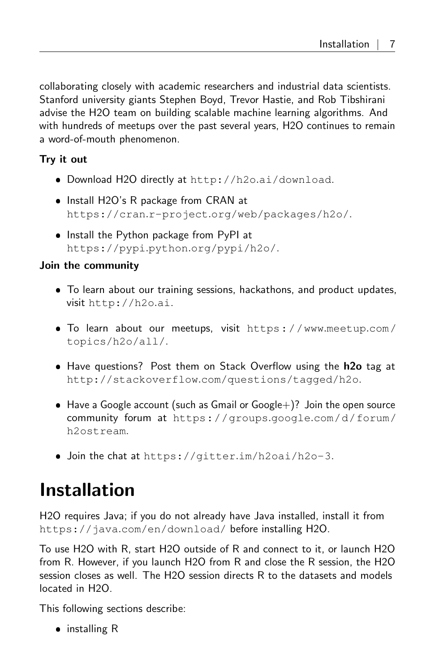collaborating closely with academic researchers and industrial data scientists. Stanford university giants Stephen Boyd, Trevor Hastie, and Rob Tibshirani advise the H2O team on building scalable machine learning algorithms. And with hundreds of meetups over the past several years, H2O continues to remain a word-of-mouth phenomenon.

#### Try it out

- Download H2O directly at http://h2o.[ai/download](http://h2o.ai/download).
- Install H2O's R package from CRAN at https://cran.r-project.[org/web/packages/h2o/](https://cran.r-project.org/web/packages/h2o/).
- Install the Python package from PyPI at https://pypi.python.[org/pypi/h2o/](https://pypi.python.org/pypi/h2o/).

#### Join the community

- To learn about our training sessions, hackathons, and product updates, visit [http://h2o](http://h2o.ai).ai.
- To learn about our meetups, visit [https://www](https://www.meetup.com/topics/h2o/all/).meetup.com/ [topics/h2o/all/](https://www.meetup.com/topics/h2o/all/).
- Have questions? Post them on Stack Overflow using the h2o tag at http://stackoverflow.[com/questions/tagged/h2o](http://stackoverflow.com/questions/tagged/h2o).
- $\bullet$  Have a Google account (such as Gmail or Google +)? Join the open source community forum at [https://groups](https://groups.google.com/d/forum/h2ostream).google.com/d/forum/ [h2ostream](https://groups.google.com/d/forum/h2ostream).
- Join the chat at https://gitter.[im/h2oai/h2o-3](https://gitter.im/h2oai/h2o-3).

# <span id="page-6-0"></span>Installation

H2O requires Java; if you do not already have Java installed, install it from https://java.[com/en/download/](https://java.com/en/download/) before installing H2O.

To use H2O with R, start H2O outside of R and connect to it, or launch H2O from R. However, if you launch H2O from R and close the R session, the H2O session closes as well. The H2O session directs R to the datasets and models located in H2O.

This following sections describe:

• installing R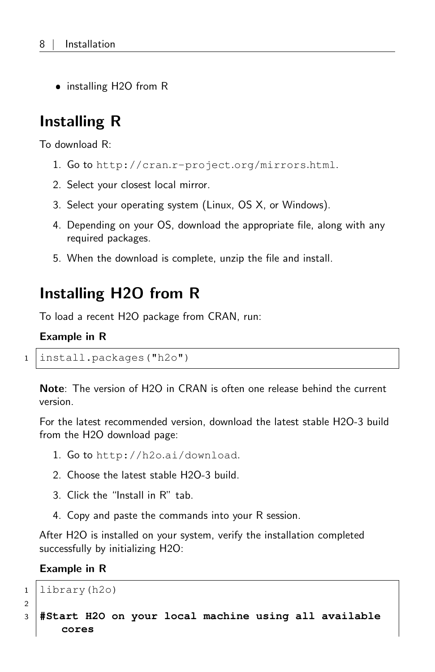<span id="page-7-0"></span>• installing H2O from R

## Installing R

To download R:

- 1. Go to http://cran.r-project.[org/mirrors](http://cran.r-project.org/mirrors.html).html.
- 2. Select your closest local mirror.
- 3. Select your operating system (Linux, OS X, or Windows).
- 4. Depending on your OS, download the appropriate file, along with any required packages.
- <span id="page-7-1"></span>5. When the download is complete, unzip the file and install.

### Installing H2O from R

To load a recent H2O package from CRAN, run:

#### Example in R

```
1 install.packages("h2o")
```
Note: The version of H2O in CRAN is often one release behind the current version.

For the latest recommended version, download the latest stable H2O-3 build from the H2O download page:

- 1. Go to http://h2o.[ai/download](http://h2o.ai/download).
- 2. Choose the latest stable H2O-3 build.
- 3. Click the "Install in R" tab.
- 4. Copy and paste the commands into your R session.

After H2O is installed on your system, verify the installation completed successfully by initializing H2O:

```
1 library(h2o)
2
```

```
3 #Start H2O on your local machine using all available
     cores
```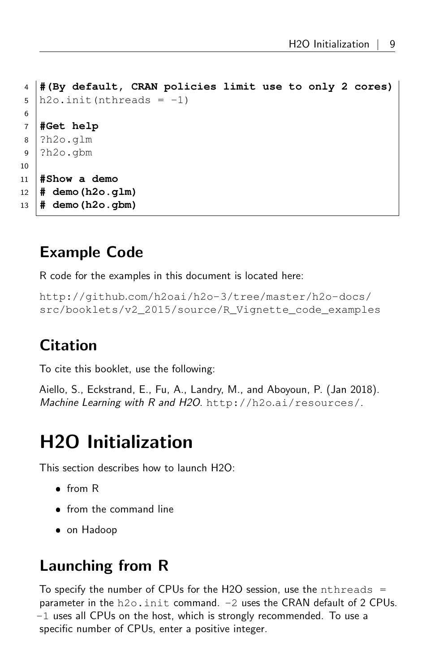```
4 #(By default, CRAN policies limit use to only 2 cores)
5 \mid h20. init (nthreads = -1)
6
7 #Get help
8 ?h2o.glm
9 ?h2o.gbm
10
11 #Show a demo
12 # demo(h2o.glm)
13 # demo(h2o.gbm)
```
## <span id="page-8-0"></span>Example Code

R code for the examples in this document is located here:

```
http://github.com/h2oai/h2o-3/tree/master/h2o-docs/
src/booklets/v2_2015/source/R_Vignette_code_examples
```
# <span id="page-8-1"></span>Citation

To cite this booklet, use the following:

Aiello, S., Eckstrand, E., Fu, A., Landry, M., and Aboyoun, P. (Jan 2018). Machine Learning with R and H2O. http://h2o.[ai/resources/](http://h2o.ai/resources/).

# <span id="page-8-2"></span>H2O Initialization

This section describes how to launch H2O:

- from R
- from the command line
- <span id="page-8-3"></span>on Hadoop

## Launching from R

To specify the number of CPUs for the H2O session, use the nthreads  $=$ parameter in the h2o.init command. -2 uses the CRAN default of 2 CPUs. -1 uses all CPUs on the host, which is strongly recommended. To use a specific number of CPUs, enter a positive integer.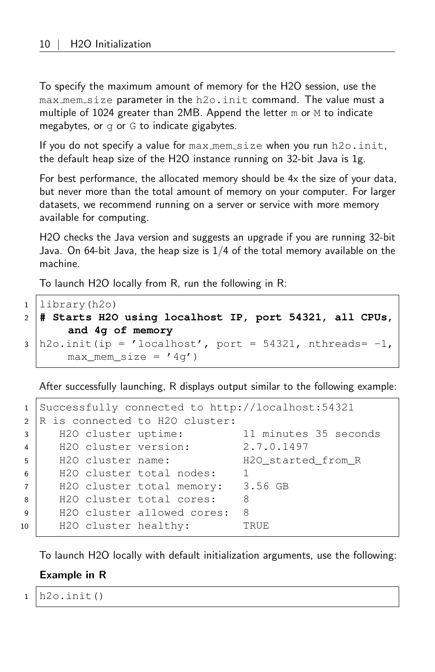To specify the maximum amount of memory for the H2O session, use the max\_mem\_size parameter in the h2o.init command. The value must a multiple of 1024 greater than 2MB. Append the letter m or M to indicate megabytes, or g or G to indicate gigabytes.

If you do not specify a value for  $max\_mem\_size$  when you run  $h2o$ . init, the default heap size of the H2O instance running on 32-bit Java is 1g.

For best performance, the allocated memory should be 4x the size of your data, but never more than the total amount of memory on your computer. For larger datasets, we recommend running on a server or service with more memory available for computing.

H2O checks the Java version and suggests an upgrade if you are running 32-bit Java. On 64-bit Java, the heap size is  $1/4$  of the total memory available on the machine.

To launch H2O locally from R, run the following in R:

```
1 library(h2o)
2 # Starts H2O using localhost IP, port 54321, all CPUs,
       and 4g of memory
3 \; \text{h2o.init} (ip = 'localhost', port = 54321, nthreads= -1,
      max mem size = '4q')
```
After successfully launching, R displays output similar to the following example:

| $\mathbf{1}$   | Successfully connected to http://localhost:54321 |                       |  |  |
|----------------|--------------------------------------------------|-----------------------|--|--|
|                | 2 R is connected to H2O cluster:                 |                       |  |  |
| 3              | H2O cluster uptime:                              | 11 minutes 35 seconds |  |  |
| $\overline{4}$ | H2O cluster version:                             | 2.7.0.1497            |  |  |
| 5              | H2O cluster name:                                | H2O started from R    |  |  |
| 6              | H <sub>20</sub> cluster total nodes:             |                       |  |  |
| $\overline{7}$ | H2O cluster total memory:                        | 3.56 GB               |  |  |
| 8              | H <sub>20</sub> cluster total cores:             | 8                     |  |  |
| $\mathbf{q}$   | H2O cluster allowed cores:                       | 8                     |  |  |
| 10             | H2O cluster healthy:                             | TRUE.                 |  |  |
|                |                                                  |                       |  |  |

To launch H2O locally with default initialization arguments, use the following:

#### Example in R

 $1 \mid h20$ . init()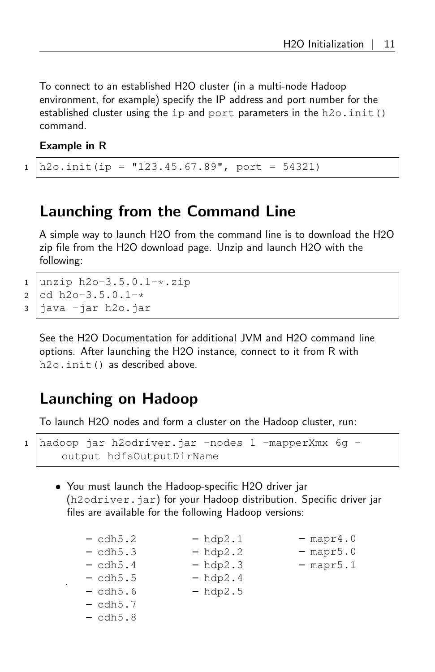To connect to an established H2O cluster (in a multi-node Hadoop environment, for example) specify the IP address and port number for the established cluster using the ip and port parameters in the h2o.init() command.

Example in R

 $1 \vert h2o.init(ip = "123.45.67.89", port = 54321)$ 

### <span id="page-10-0"></span>Launching from the Command Line

A simple way to launch H2O from the command line is to download the H2O zip file from the H2O download page. Unzip and launch H2O with the following:

```
1 \vertunzip h2o-3.5.0.1-\star.zip
2 \vert cd h2o-3.5.0.1-*
3 java -jar h2o.jar
```
See the H2O Documentation for additional JVM and H2O command line options. After launching the H2O instance, connect to it from R with h2o.init() as described above.

### <span id="page-10-1"></span>Launching on Hadoop

To launch H2O nodes and form a cluster on the Hadoop cluster, run:

<sup>1</sup> hadoop jar h2odriver.jar -nodes 1 -mapperXmx 6g output hdfsOutputDirName

 You must launch the Hadoop-specific H2O driver jar (h2odriver.jar) for your Hadoop distribution. Specific driver jar files are available for the following Hadoop versions:

| - cdh5.2   | $-$ hdp2.1 | $-$ mapr4.0 |
|------------|------------|-------------|
| - cdh5.3   | $-$ hdp2.2 | $-$ mapr5.0 |
| - cdh5.4   | $-$ hdp2.3 | $-$ mapr5.1 |
| - cdh5.5   | $-$ hdp2.4 |             |
| - cdh5.6   | $-$ hdp2.5 |             |
| - cdh5.7   |            |             |
| $-$ cdh5.8 |            |             |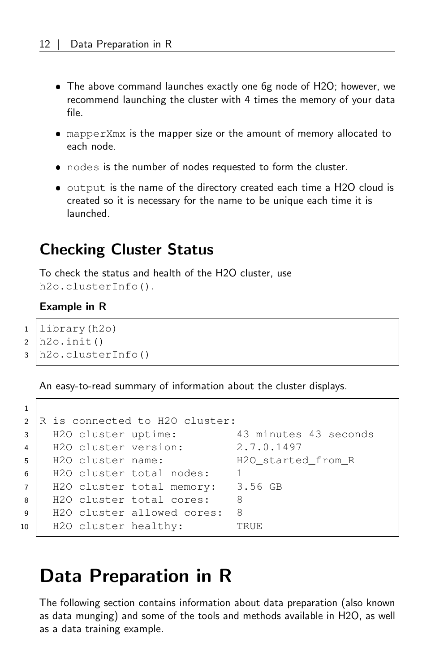- The above command launches exactly one 6g node of H2O; however, we recommend launching the cluster with 4 times the memory of your data file.
- mapperXmx is the mapper size or the amount of memory allocated to each node.
- nodes is the number of nodes requested to form the cluster.
- $\bullet$  output is the name of the directory created each time a H2O cloud is created so it is necessary for the name to be unique each time it is launched.

### <span id="page-11-0"></span>Checking Cluster Status

To check the status and health of the H2O cluster, use h2o.clusterInfo().

#### Example in R

1

```
1 library(h2o)
2 h2o.init()
3 h2o.clusterInfo()
```
An easy-to-read summary of information about the cluster displays.

```
2 \overline{\phantom{a}} R is connected to H2O cluster:
3 H2O cluster uptime: 43 minutes 43 seconds
4 H2O cluster version: 2.7.0.1497
5 H2O cluster name: H2O started from R
6 | H2O cluster total nodes: 1
7 | H2O cluster total memory: 3.56 GB
8 | H2O cluster total cores: 8
9 H2O cluster allowed cores: 8
10 H2O cluster healthy: TRUE
```
## <span id="page-11-1"></span>Data Preparation in R

<span id="page-11-2"></span>The following section contains information about data preparation (also known as data munging) and some of the tools and methods available in H2O, as well as a data training example.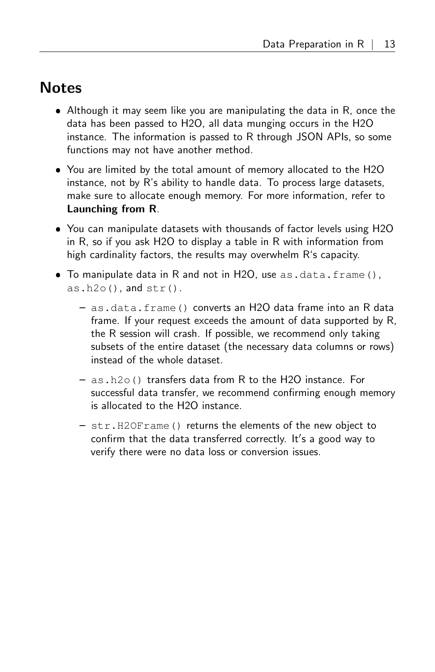### **Notes**

- Although it may seem like you are manipulating the data in R, once the data has been passed to H2O, all data munging occurs in the H2O instance. The information is passed to R through JSON APIs, so some functions may not have another method.
- You are limited by the total amount of memory allocated to the H2O instance, not by R's ability to handle data. To process large datasets, make sure to allocate enough memory. For more information, refer to [Launching from R](#page-8-3).
- You can manipulate datasets with thousands of factor levels using H2O in R, so if you ask H2O to display a table in R with information from high cardinality factors, the results may overwhelm R's capacity.
- To manipulate data in R and not in H2O, use as.data.frame(),  $as.h2o()$ , and  $str()$ .
	- as.data.frame() converts an H2O data frame into an R data frame. If your request exceeds the amount of data supported by R, the R session will crash. If possible, we recommend only taking subsets of the entire dataset (the necessary data columns or rows) instead of the whole dataset.
	- as.h2o() transfers data from R to the H2O instance. For successful data transfer, we recommend confirming enough memory is allocated to the H2O instance.
	- str.H2OFrame() returns the elements of the new object to confirm that the data transferred correctly. It's a good way to verify there were no data loss or conversion issues.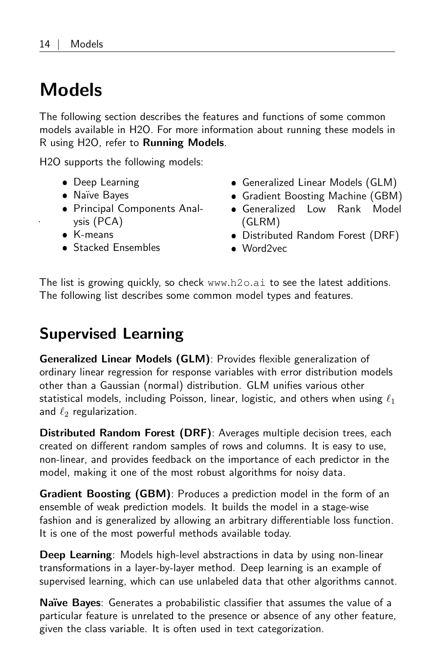# <span id="page-13-0"></span>Models

The following section describes the features and functions of some common models available in H2O. For more information about running these models in R using H2O, refer to [Running Models](#page-28-0).

H2O supports the following models:

- Deep Learning
- Naïve Bayes
- Principal Components Analysis (PCA)
- K-means
- **Stacked Ensembles**
- Generalized Linear Models (GLM)
- Gradient Boosting Machine (GBM)
- Generalized Low Rank Model (GLRM)
- Distributed Random Forest (DRF)
- Word2vec

<span id="page-13-1"></span>The list is growing quickly, so check [www](www.h2o.ai).h2o.ai to see the latest additions. The following list describes some common model types and features.

## Supervised Learning

Generalized Linear Models (GLM): Provides flexible generalization of ordinary linear regression for response variables with error distribution models other than a Gaussian (normal) distribution. GLM unifies various other statistical models, including Poisson, linear, logistic, and others when using  $\ell_1$ and  $\ell_2$  regularization.

Distributed Random Forest (DRF): Averages multiple decision trees, each created on different random samples of rows and columns. It is easy to use, non-linear, and provides feedback on the importance of each predictor in the model, making it one of the most robust algorithms for noisy data.

Gradient Boosting (GBM): Produces a prediction model in the form of an ensemble of weak prediction models. It builds the model in a stage-wise fashion and is generalized by allowing an arbitrary differentiable loss function. It is one of the most powerful methods available today.

Deep Learning: Models high-level abstractions in data by using non-linear transformations in a layer-by-layer method. Deep learning is an example of supervised learning, which can use unlabeled data that other algorithms cannot.

Naïve Bayes: Generates a probabilistic classifier that assumes the value of a particular feature is unrelated to the presence or absence of any other feature, given the class variable. It is often used in text categorization.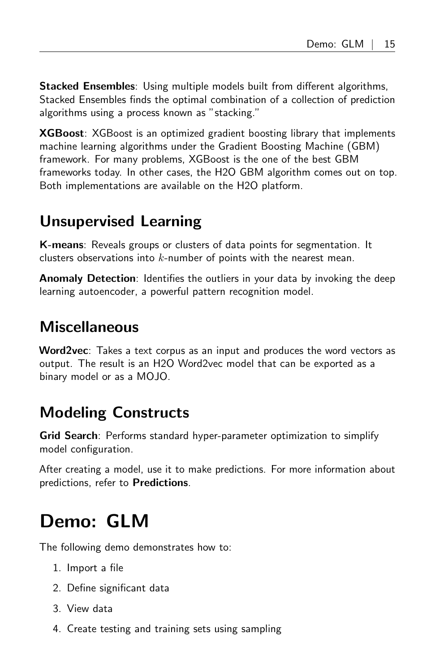Stacked Ensembles: Using multiple models built from different algorithms, Stacked Ensembles finds the optimal combination of a collection of prediction algorithms using a process known as "stacking."

**XGBoost**: XGBoost is an optimized gradient boosting library that implements machine learning algorithms under the Gradient Boosting Machine (GBM) framework. For many problems, XGBoost is the one of the best GBM frameworks today. In other cases, the H2O GBM algorithm comes out on top. Both implementations are available on the H2O platform.

## <span id="page-14-0"></span>Unsupervised Learning

K-means: Reveals groups or clusters of data points for segmentation. It clusters observations into  $k$ -number of points with the nearest mean.

**Anomaly Detection**: Identifies the outliers in your data by invoking the deep learning autoencoder, a powerful pattern recognition model.

## <span id="page-14-1"></span>**Miscellaneous**

Word2vec: Takes a text corpus as an input and produces the word vectors as output. The result is an H2O Word2vec model that can be exported as a binary model or as a MOJO.

## <span id="page-14-2"></span>Modeling Constructs

Grid Search: Performs standard hyper-parameter optimization to simplify model configuration.

After creating a model, use it to make predictions. For more information about predictions, refer to [Predictions](#page-33-0).

# <span id="page-14-3"></span>Demo: GLM

The following demo demonstrates how to:

- 1. Import a file
- 2. Define significant data
- 3. View data
- 4. Create testing and training sets using sampling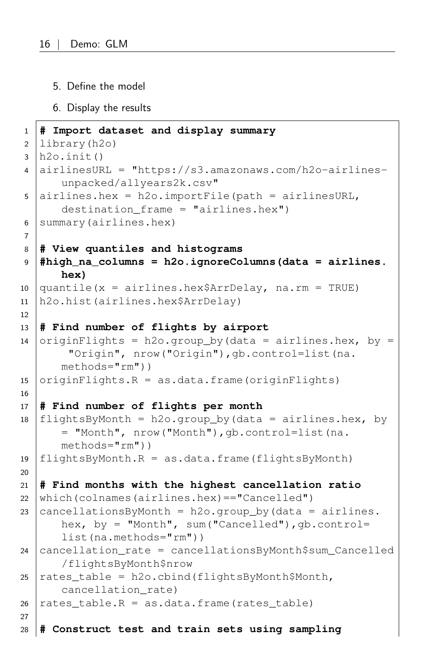- 5. Define the model
- 6. Display the results

```
1 # Import dataset and display summary
2 library(h2o)
3 \mid h20. init()
4 airlinesURL = "https://s3.amazonaws.com/h2o-airlines-
      unpacked/allyears2k.csv"
5 airlines.hex = h2o.importFile(path = airlinesURL,
      destination frame = "airlines.hex")
6 summary(airlines.hex)
7
8 # View quantiles and histograms
9 #high_na_columns = h2o.ignoreColumns(data = airlines.
      hex)
10 \alpha quantile(x = airlines.hex$ArrDelay, na.rm = TRUE)
11 h2o.hist(airlines.hex$ArrDelay)
12
13 # Find number of flights by airport
14 originFlights = h2o.group by(data = airlines.hex, by =
       "Origin", nrow("Origin"),gb.control=list(na.
      methods="rm"))
15 \sigmaiqinFlights.R = as.data.frame(originFlights)
16
17 # Find number of flights per month
18 flightsByMonth = h2o.group_by(data = airlines.hex, by= "Month", nrow("Month"),gb.control=list(na.
      methods="rm"))
19 | flightsByMonth.R = as.data frame (flightsByMonth)20
21 # Find months with the highest cancellation ratio
22 which(colnames(airlines.hex)=="Cancelled")
23 \vert cancellations By Month = h2o.group_by (data = airlines.
      hex, by = "Month", sum ("Cancelled"), qb.control=
      list(na.methods="rm"))
24 cancellation_rate = cancellationsByMonth$sum_Cancelled
      /flightsByMonth$nrow
25 rates table = h2o.cbind(flightsByMonth$Month,
      cancellation_rate)
26 rates table.R = as.data.frame(rates table)
27
28 # Construct test and train sets using sampling
```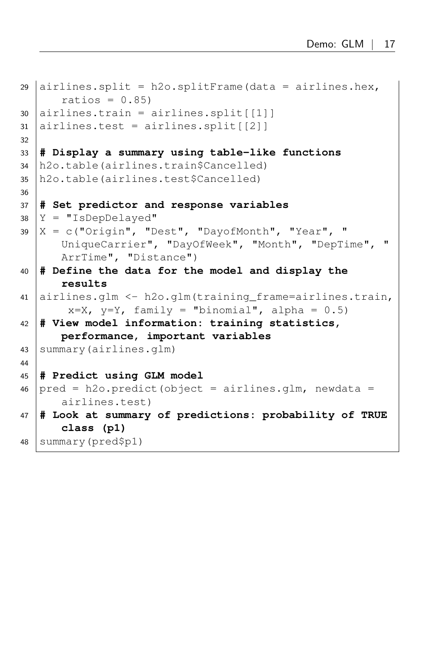```
29 airlines.split = h20.splitFrame(data = airlines.hex,ratios = 0.85)
30 airlines.train = airlines.split [[1]]
31 airlines.test = airlines.split [[2]]
32
33 # Display a summary using table-like functions
34 h2o.table(airlines.train$Cancelled)
35 h2o.table(airlines.test$Cancelled)
36
37 # Set predictor and response variables
38 Y = "IsDepDelayed"
39 \mid X = c ("Origin", "Dest", "DayofMonth", "Year", "
      UniqueCarrier", "DayOfWeek", "Month", "DepTime", "
      ArrTime", "Distance")
40 # Define the data for the model and display the
      results
41 airlines.glm <- h2o.glm(training_frame=airlines.train,
       x=X, y=Y, family = "binomial", alpha = 0.5)
42 # View model information: training statistics,
      performance, important variables
43 | summary (airlines.glm)
44
45 # Predict using GLM model
46 pred = h2o.predict(object = airlines.glm, newdata =airlines.test)
47 # Look at summary of predictions: probability of TRUE
      class (p1)
```
<sup>48</sup> summary(pred\$p1)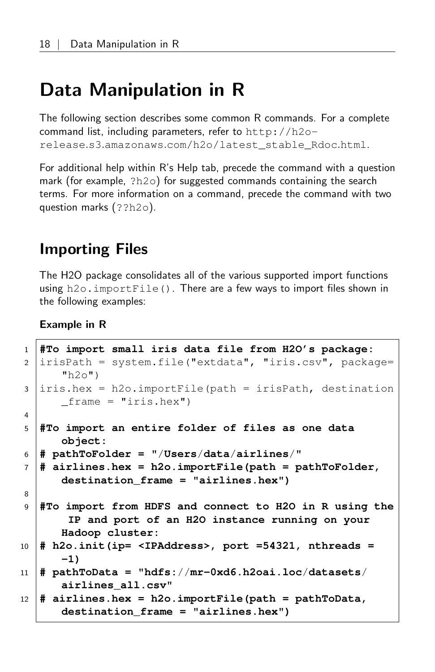## <span id="page-17-0"></span>Data Manipulation in R

The following section describes some common R commands. For a complete command list, including parameters, refer to [http://h2o](http://h2o-release.s3.amazonaws.com/h2o/latest_stable_Rdoc.html)release.s3.amazonaws.[com/h2o/latest\\_stable\\_Rdoc](http://h2o-release.s3.amazonaws.com/h2o/latest_stable_Rdoc.html).html.

For additional help within R's Help tab, precede the command with a question mark (for example, ?h2o) for suggested commands containing the search terms. For more information on a command, precede the command with two question marks (??h2o).

### <span id="page-17-1"></span>Importing Files

The H2O package consolidates all of the various supported import functions using h2o.importFile(). There are a few ways to import files shown in the following examples:

```
1 #To import small iris data file from H2O's package:
2 irisPath = system.file("extdata", "iris.csv", package=
      "h2o")
3 iris.hex = h2o.importFile(path = irisPath, destination
      _\text{frame} = "iris.hex")
4
5 #To import an entire folder of files as one data
      object:
6 # pathToFolder = "/Users/data/airlines/"
7 # airlines.hex = h2o.importFile(path = pathToFolder,
      destination_frame = "airlines.hex")
8
9 #To import from HDFS and connect to H2O in R using the
       IP and port of an H2O instance running on your
      Hadoop cluster:
10 # h2o.init(ip= <IPAddress>, port =54321, nthreads =
      -1)
11 # pathToData = "hdfs://mr-0xd6.h2oai.loc/datasets/
      airlines_all.csv"
12 # airlines.hex = h2o.importFile(path = pathToData,
      destination_frame = "airlines.hex")
```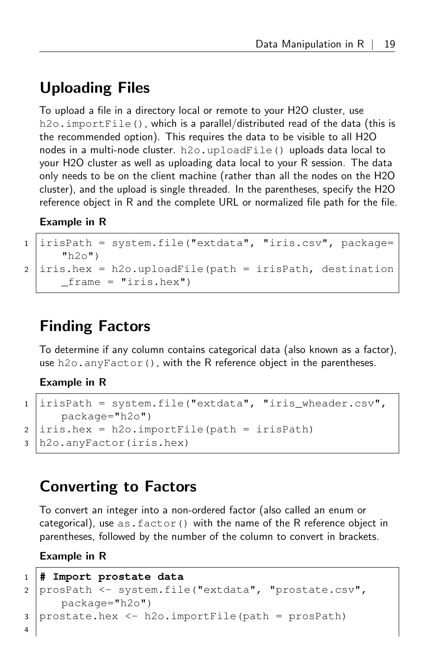## Uploading Files

To upload a file in a directory local or remote to your H2O cluster, use h2o.importFile(), which is a parallel/distributed read of the data (this is the recommended option). This requires the data to be visible to all H2O nodes in a multi-node cluster. h2o.uploadFile() uploads data local to your H2O cluster as well as uploading data local to your R session. The data only needs to be on the client machine (rather than all the nodes on the H2O cluster), and the upload is single threaded. In the parentheses, specify the H2O reference object in R and the complete URL or normalized file path for the file.

#### Example in R

```
1 irisPath = system.file("extdata", "iris.csv", package=
      "h2o")
2 iris.hex = h2o.uploadFile(path = irisPath, destination
     _\text{frame} = "iris.hex")
```
## <span id="page-18-0"></span>Finding Factors

To determine if any column contains categorical data (also known as a factor), use h2o.anyFactor(), with the R reference object in the parentheses.

#### Example in R

```
1 irisPath = system.file("extdata", "iris_wheader.csv",
     package="h2o")
2 | iris.hex = h2o.importFile(path = irisPath)
3 h2o.anyFactor(iris.hex)
```
## <span id="page-18-1"></span>Converting to Factors

To convert an integer into a non-ordered factor (also called an enum or categorical), use  $as.factor()$  with the name of the R reference object in parentheses, followed by the number of the column to convert in brackets.

```
1 # Import prostate data
2 prosPath <- system.file("extdata", "prostate.csv",
     package="h2o")
3 prostate.hex \leq h2o.importFile(path = prosPath)
4
```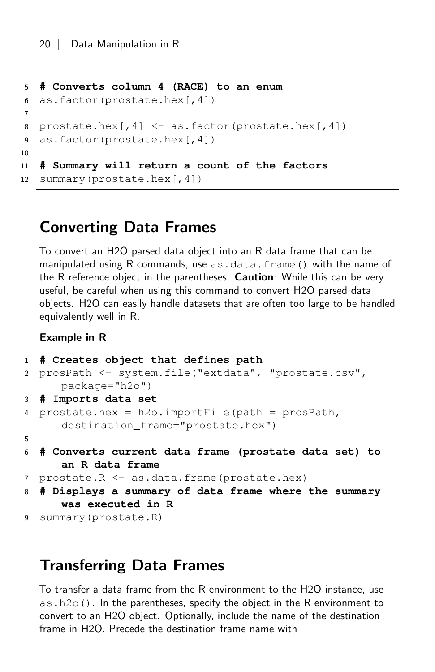```
5 # Converts column 4 (RACE) to an enum
6 as.factor(prostate.hex[, 4])7
8 prostate. hex[, 4] < -as.factor(prostate. hex[, 4]9 as.factor(prostate.hex[,4])
10
11 # Summary will return a count of the factors
12 \text{summary}(\text{prostate.hex}[, 4])
```
## <span id="page-19-0"></span>Converting Data Frames

To convert an H2O parsed data object into an R data frame that can be manipulated using R commands, use as.data.frame() with the name of the R reference object in the parentheses. **Caution**: While this can be very useful, be careful when using this command to convert H2O parsed data objects. H2O can easily handle datasets that are often too large to be handled equivalently well in R.

Example in R

```
1 # Creates object that defines path
2 prosPath <- system.file("extdata", "prostate.csv",
     package="h2o")
3 # Imports data set
4 prostate.hex = h2o.importFile(path = prosPath,
     destination_frame="prostate.hex")
5
6 # Converts current data frame (prostate data set) to
     an R data frame
7 prostate.R <- as.data.frame(prostate.hex)
8 # Displays a summary of data frame where the summary
     was executed in R
9 Summary(prostate.R)
```
### <span id="page-19-1"></span>Transferring Data Frames

To transfer a data frame from the R environment to the H2O instance, use as.h2o(). In the parentheses, specify the object in the R environment to convert to an H2O object. Optionally, include the name of the destination frame in H2O. Precede the destination frame name with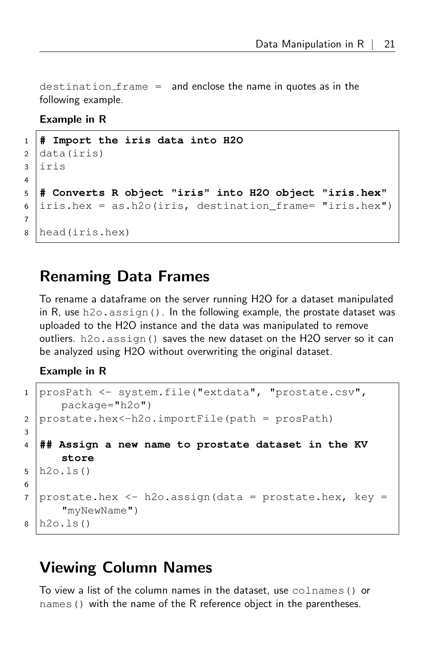destination  $frame =$  and enclose the name in quotes as in the following example.

#### Example in R

```
1 # Import the iris data into H2O
2 data(iris)
3 iris
4
5 # Converts R object "iris" into H2O object "iris.hex"
6 \vertiris.hex = as.h2o(iris, destination_frame= "iris.hex")
7
8 head(iris.hex)
```
### <span id="page-20-0"></span>Renaming Data Frames

To rename a dataframe on the server running H2O for a dataset manipulated in R, use  $h2\circ$ , assign(). In the following example, the prostate dataset was uploaded to the H2O instance and the data was manipulated to remove outliers. h2o.assign() saves the new dataset on the H2O server so it can be analyzed using H2O without overwriting the original dataset.

#### Example in R

```
1 prosPath <- system.file("extdata", "prostate.csv",
     package="h2o")
2 prostate.hex<-h2o.importFile(path = prosPath)
3
4 ## Assign a new name to prostate dataset in the KV
     store
5 h2o.ls()
6
7 | prostate.hex \leq h2o.assign (data = prostate.hex, key =
      "myNewName")
8 h2o.ls()
```
### <span id="page-20-1"></span>Viewing Column Names

To view a list of the column names in the dataset, use colnames() or names() with the name of the R reference object in the parentheses.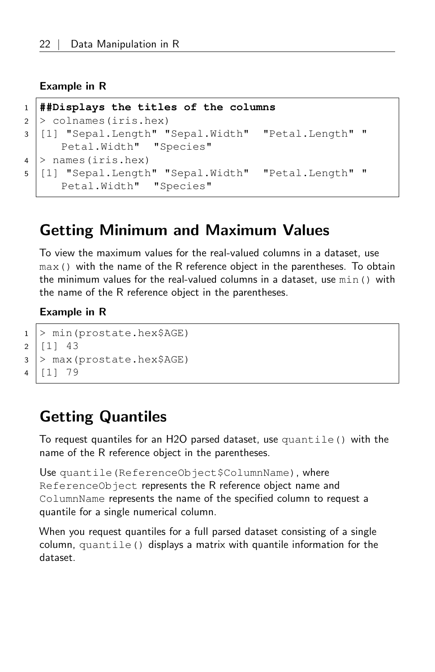#### Example in R

```
1 ##Displays the titles of the columns
2 > colnames(iris.hex)
3 [1] "Sepal.Length" "Sepal.Width" "Petal.Length" "
     Petal.Width" "Species"
4 > names(iris.hex)
5 [1] "Sepal.Length" "Sepal.Width" "Petal.Length" "
     Petal.Width" "Species"
```
### <span id="page-21-0"></span>Getting Minimum and Maximum Values

To view the maximum values for the real-valued columns in a dataset, use max() with the name of the R reference object in the parentheses. To obtain the minimum values for the real-valued columns in a dataset, use min() with the name of the R reference object in the parentheses.

#### Example in R

```
1 > min(prostate.hex$AGE)
2 | 11 | 433 > max(prostate.hex$AGE)
4 [1] 79
```
## <span id="page-21-1"></span>Getting Quantiles

To request quantiles for an H2O parsed dataset, use quantile() with the name of the R reference object in the parentheses.

Use quantile (ReferenceObject\$ColumnName), where ReferenceObject represents the R reference object name and ColumnName represents the name of the specified column to request a quantile for a single numerical column.

When you request quantiles for a full parsed dataset consisting of a single  $column, quantile()$  displays a matrix with quantile information for the dataset.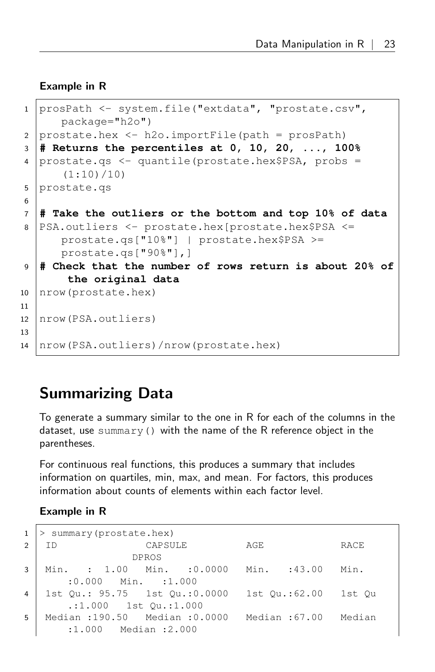#### Example in R

```
1 prosPath <- system.file("extdata", "prostate.csv",
      package="h2o")
2 | prostate.hex \leq h2o.importFile(path = prosPath)
3 # Returns the percentiles at 0, 10, 20, ..., 100%
4 prostate.qs <- quantile(prostate.hex$PSA, probs =
      (1:10)/10)
5 prostate.gs
6
7 # Take the outliers or the bottom and top 10% of data
8 PSA.outliers <- prostate.hex[prostate.hex$PSA <=
      prostate.qs["10%"] | prostate.hex$PSA >=
      prostate.qs["90%"],]
9 # Check that the number of rows return is about 20% of
       the original data
10 | nrow (prostate.hex)
11
12 nrow(PSA.outliers)
13
14 nrow(PSA.outliers)/nrow(prostate.hex)
```
## <span id="page-22-0"></span>Summarizing Data

To generate a summary similar to the one in R for each of the columns in the dataset, use summary() with the name of the R reference object in the parentheses.

For continuous real functions, this produces a summary that includes information on quartiles, min, max, and mean. For factors, this produces information about counts of elements within each factor level.

```
1 > summary (prostate.hex)
2 ID CAPSULE AGE RACE
              DPROS
3 Min. : 1.00 Min. :0.0000 Min. :43.00 Min.
     :0.000 Min. :1.000
4 1st Qu.: 95.75 1st Qu.:0.0000 1st Qu.:62.00 1st Qu
      .:1.000 1st Qu.:1.000
5 Median :190.50 Median :0.0000 Median :67.00 Median
      :1.000 Median :2.000
```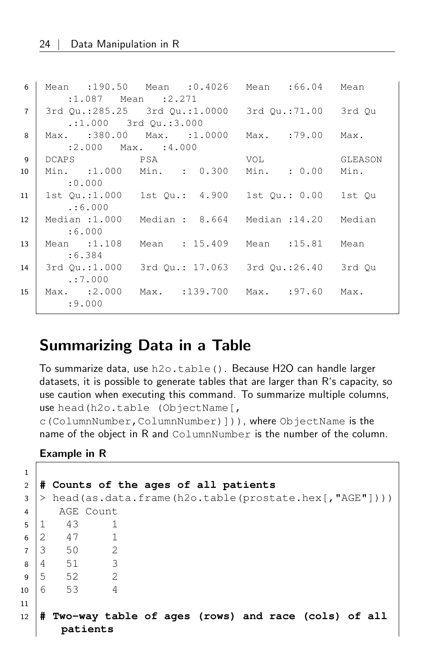| 6              |                        | Mean :190.50 Mean :0.4026 Mean :66.04 Mean              |     |         |
|----------------|------------------------|---------------------------------------------------------|-----|---------|
|                |                        | $:1.087$ Mean $:2.271$                                  |     |         |
| $\overline{7}$ |                        | 3rd Qu.:285.25 3rd Qu.:1.0000 3rd Qu.:71.00 3rd Qu      |     |         |
|                |                        | $:1.000$ 3rd Ou.:3.000                                  |     |         |
| 8              |                        | Max. :380.00 Max. :1.0000 Max. :79.00 Max.              |     |         |
|                | $:2.000$ Max. $:4.000$ |                                                         |     |         |
| 9              | DCAPS PSA              |                                                         | VOL | GLEASON |
| 10             |                        | Min. :1.000 Min. : 0.300 Min. : 0.00 Min.               |     |         |
|                | :0.000                 |                                                         |     |         |
| 11             |                        | 1st Ou.:1.000   1st Ou.: 4.900   1st Ou.: 0.00   1st Ou |     |         |
|                | . : 6.000              |                                                         |     |         |
| 12             |                        | Median:1.000 Median: 8.664 Median:14.20 Median          |     |         |
|                | :6.000                 |                                                         |     |         |
| 13             |                        | Mean :1.108 Mean : 15.409 Mean :15.81 Mean              |     |         |
|                | :6.384                 |                                                         |     |         |
| 14             |                        | 3rd Ou.:1.000 3rd Ou.: 17.063 3rd Ou.:26.40 3rd Ou      |     |         |
|                | . : 7.000              |                                                         |     |         |
| 15             |                        | Max. :2.000 Max. :139.700 Max. :97.60 Max.              |     |         |
|                | : 9.000                |                                                         |     |         |
|                |                        |                                                         |     |         |

### <span id="page-23-0"></span>Summarizing Data in a Table

To summarize data, use h2o.table(). Because H2O can handle larger datasets, it is possible to generate tables that are larger than R's capacity, so use caution when executing this command. To summarize multiple columns, use head(h2o.table (ObjectName[,

c(ColumnNumber,ColumnNumber)])), where ObjectName is the name of the object in R and ColumnNumber is the number of the column.

```
1
2 # Counts of the ages of all patients
3 > head(as.data.frame(h2o.table(prostate.hex[,"AGE"])))
4 AGE Count
5 1 43 1
6 \mid 2 \quad 47 \quad 17 \mid 3 \mid 50 \mid 28 \mid 4 51 3
9 \mid 5 52 2
10 6 53 4
11
12 # Two-way table of ages (rows) and race (cols) of all
      patients
```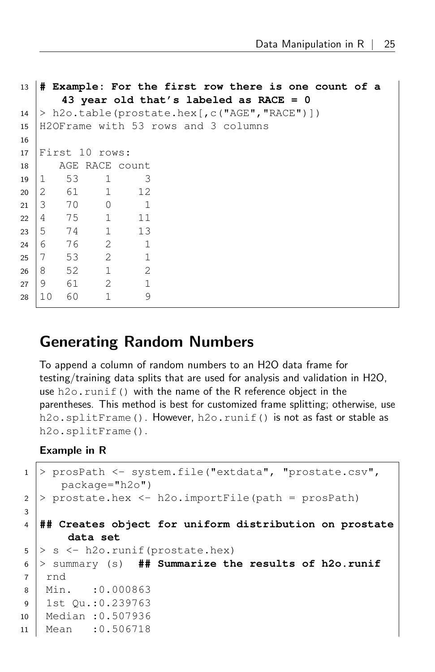```
13 # Example: For the first row there is one count of a
     43 year old that's labeled as RACE = 0
14 > h2o.table(prostate.hex[, c("AGE", "RACE")])
15 H2OFrame with 53 rows and 3 columns
16
17 First 10 rows:
18 AGE RACE count
19 1 53 1 3
20 2 61 1 12
21 3 70 0 1
22 4 75 1 11
23 5 74 1 13
24 6 76 2 1
25 7 53 2 1
26 8 52 1 2
27 \mid 9 \quad 61 \quad 2 \quad 128 10 60 1 9
```
### <span id="page-24-0"></span>Generating Random Numbers

To append a column of random numbers to an H2O data frame for testing/training data splits that are used for analysis and validation in H2O, use h2o. runif() with the name of the R reference object in the parentheses. This method is best for customized frame splitting; otherwise, use h2o.splitFrame(). However, h2o.runif() is not as fast or stable as h2o.splitFrame().

```
1 > prosPath <- system.file("extdata", "prostate.csv",
      package="h2o")
2 > prostate.hex <- h2o.importFile(path = prosPath)
3
4 ## Creates object for uniform distribution on prostate
       data set
5 > s < -h20.runif(prostate.hex)
6 > summary (s) ## Summarize the results of h2o.runif
7 | rnd
8 Min. :0.000863
9 1st Qu.:0.239763
10 Median :0.507936
11 Mean :0.506718
```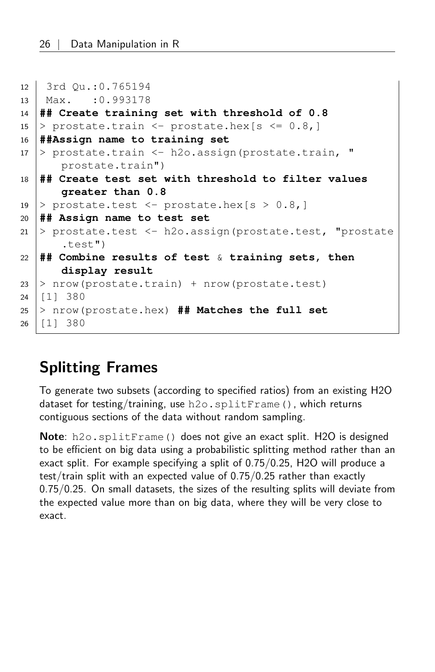```
12 3rd Qu.:0.765194
13 Max. :0.993178
14 ## Create training set with threshold of 0.8
15 > prostate.train <- prostate.hex [s \le 0.8]16 ##Assign name to training set
17 > prostate.train <- h2o.assign(prostate.train, "
      prostate.train")
18 ## Create test set with threshold to filter values
      greater than 0.8
19 | prostate.test \leq prostate.hex [s > 0.8,]
20 ## Assign name to test set
21 > prostate.test <- h2o.assign(prostate.test, "prostate
      .test")
22 ## Combine results of test & training sets, then
      display result
23 > nrow(prostate.train) + nrow(prostate.test)
24 | 11 | 38025 > nrow(prostate.hex) ## Matches the full set
26 [1] 380
```
## <span id="page-25-0"></span>Splitting Frames

To generate two subsets (according to specified ratios) from an existing H2O dataset for testing/training, use h2o.splitFrame(), which returns contiguous sections of the data without random sampling.

Note: h2o.splitFrame() does not give an exact split. H2O is designed to be efficient on big data using a probabilistic splitting method rather than an exact split. For example specifying a split of 0.75/0.25, H2O will produce a test/train split with an expected value of 0.75/0.25 rather than exactly 0.75/0.25. On small datasets, the sizes of the resulting splits will deviate from the expected value more than on big data, where they will be very close to exact.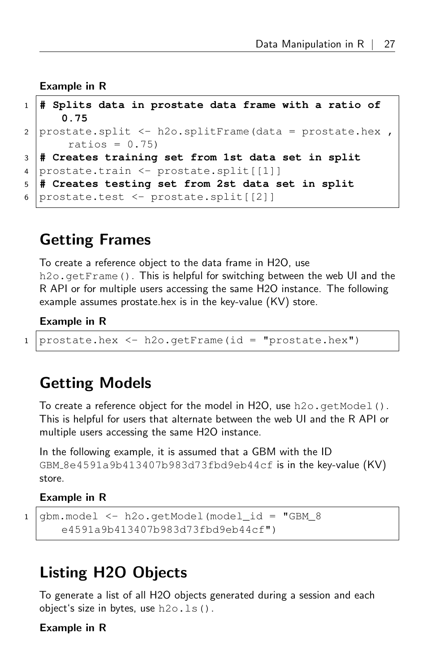Example in R

```
1 # Splits data in prostate data frame with a ratio of
     0.75
2 | prostate.split <- h2o.splitFrame (data = prostate.hex ,
      ratios = 0.75)
3 # Creates training set from 1st data set in split
4 prostate.train <- prostate.split[[1]]
5 # Creates testing set from 2st data set in split
6 prostate.test <- prostate.split[[2]]
```
### <span id="page-26-0"></span>Getting Frames

To create a reference object to the data frame in H2O, use h2o. getFrame(). This is helpful for switching between the web UI and the R API or for multiple users accessing the same H2O instance. The following example assumes prostate.hex is in the key-value (KV) store.

#### Example in R

<sup>1</sup> prostate.hex <- h2o.getFrame(id = "prostate.hex")

### <span id="page-26-1"></span>Getting Models

To create a reference object for the model in H2O, use  $h2o$ .getModel(). This is helpful for users that alternate between the web UI and the R API or multiple users accessing the same H2O instance.

In the following example, it is assumed that a GBM with the ID GBM  $8e4591a9b413407b983d73fbd9eb44cf$  is in the key-value  $(KV)$ store.

#### Example in R

```
1 \midgbm.model \le - h2o.getModel(model_id = "GBM_8
      e4591a9b413407b983d73fbd9eb44cf")
```
## <span id="page-26-2"></span>Listing H2O Objects

To generate a list of all H2O objects generated during a session and each object's size in bytes, use  $h2o.ls()$ .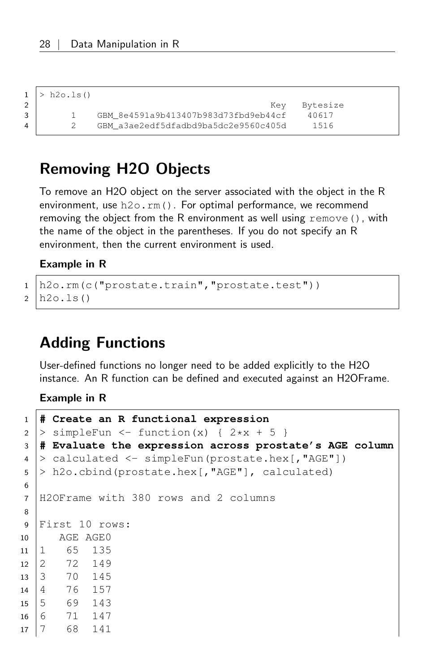$1$  > h2o.ls()

```
2 Bytesize
3 1 GBM 8e4591a9b413407b983d73fbd9eb44cf 40617
4 2 GBM_a3ae2edf5dfadbd9ba5dc2e9560c405d 1516
```
## <span id="page-27-0"></span>Removing H2O Objects

To remove an H2O object on the server associated with the object in the R environment, use h2o.rm(). For optimal performance, we recommend removing the object from the R environment as well using remove(), with the name of the object in the parentheses. If you do not specify an R environment, then the current environment is used.

#### Example in R

<sup>1</sup> h2o.rm(c("prostate.train","prostate.test"))  $2 \mid h20.ls()$ 

## <span id="page-27-1"></span>Adding Functions

User-defined functions no longer need to be added explicitly to the H2O instance. An R function can be defined and executed against an H2OFrame.

```
1 # Create an R functional expression
2 > simpleFun <- function(x) { 2*x + 5 }
3 # Evaluate the expression across prostate's AGE column
4 > calculated <- simpleFun(prostate.hex[,"AGE"])
5 > h2o.cbind(prostate.hex[, "AGE"], calculated)
6
7 H2OFrame with 380 rows and 2 columns
8
9 First 10 rows:
10 AGE AGE0
11 1 65 135
12 2 72 149
13 3 70 145
14 4 76 157
15 5 69 143
16 6 71 147
17 7 68 141
```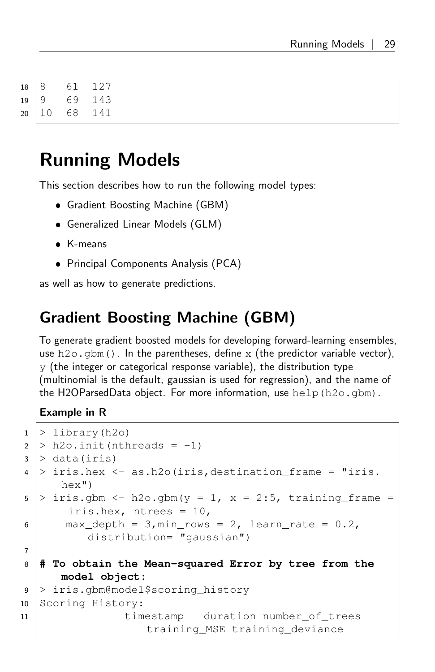| $\begin{array}{c c} 18 & 8 \\ 19 & 9 \\ 20 & 1 \end{array}$ |    | 61 | 127 |
|-------------------------------------------------------------|----|----|-----|
|                                                             |    | 69 | 143 |
|                                                             | 10 | 68 | 141 |

## <span id="page-28-0"></span>Running Models

This section describes how to run the following model types:

- Gradient Boosting Machine (GBM)
- Generalized Linear Models (GLM)
- K-means
- Principal Components Analysis (PCA)

<span id="page-28-1"></span>as well as how to generate predictions.

## Gradient Boosting Machine (GBM)

To generate gradient boosted models for developing forward-learning ensembles, use h2o.gbm(). In the parentheses, define x (the predictor variable vector),  $y$  (the integer or categorical response variable), the distribution type (multinomial is the default, gaussian is used for regression), and the name of the H2OParsedData object. For more information, use help(h2o.gbm).

```
1 > library(h2o)
2 > h2o.init(nthreads = -1)
3 > data(iris)
4 > iris.hex <- as.h2o(iris,destination_frame = "iris.
      hex")
5 > iris.gbm <- h2o.gbm(y = 1, x = 2:5, training frame =
       iris.hex, ntrees = 10,
6 max_depth = 3, min_rows = 2, learn_rate = 0.2,
          distribution= "gaussian")
7
8 # To obtain the Mean-squared Error by tree from the
      model object:
9 > iris.gbm@model$scoring_history
10 Scoring History:
11 timestamp duration number_of_trees
                   training_MSE training_deviance
```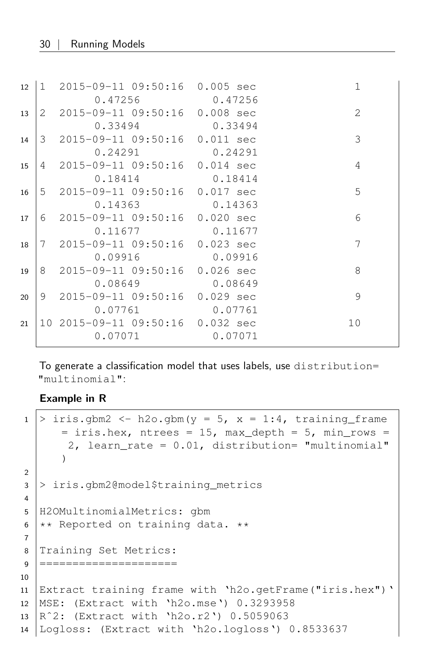| 12 | 1 2015-09-11 09:50:16 0.005 sec  |                 |         | $\mathbf 1$    |
|----|----------------------------------|-----------------|---------|----------------|
|    |                                  | 0.47256 0.47256 |         |                |
| 13 | 2 2015-09-11 09:50:16 0.008 sec  |                 |         | $\mathfrak{D}$ |
|    | 0.33494                          | 0.33494         |         |                |
| 14 | 3 2015-09-11 09:50:16 0.011 sec  |                 |         | 3              |
|    | 0.24291                          |                 | 0.24291 |                |
| 15 | 4 2015-09-11 09:50:16 0.014 sec  |                 |         | 4              |
|    | 0.18414                          | 0.18414         |         |                |
| 16 | 5 2015-09-11 09:50:16 0.017 sec  |                 |         | .5             |
|    |                                  | 0.14363 0.14363 |         |                |
| 17 | 6 2015-09-11 09:50:16 0.020 sec  |                 |         | 6              |
|    | 0.11677                          | 0.11677         |         |                |
| 18 | 7 2015-09-11 09:50:16 0.023 sec  |                 |         | 7              |
|    | 0.09916                          | 0.09916         |         |                |
| 19 | 8 2015-09-11 09:50:16 0.026 sec  |                 |         | 8              |
|    | 0.08649                          | 0.08649         |         |                |
| 20 | 9 2015-09-11 09:50:16 0.029 sec  |                 |         | 9              |
|    | 0.07761                          | 0.07761         |         |                |
| 21 | 10 2015-09-11 09:50:16 0.032 sec |                 |         | 10             |
|    | 0.07071                          |                 | 0.07071 |                |
|    |                                  |                 |         |                |

To generate a classification model that uses labels, use distribution= "multinomial":

```
1 > iris.gbm2 <- h2o.gbm(y = 5, x = 1:4, training frame
      = iris.hex, ntrees = 15, max_depth = 5, min_rows =
       2, learn_rate = 0.01, distribution= "multinomial"
      )
2
3 > iris.gbm2@model$training_metrics
4
5 H2OMultinomialMetrics: gbm
6 \mid \star \star Reported on training data. \star \star7
8 Training Set Metrics:
9 =====================
10
11 Extract training frame with 'h2o.getFrame("iris.hex")'
12 MSE: (Extract with 'h2o.mse') 0.3293958
13 Rˆ2: (Extract with 'h2o.r2') 0.5059063
14 Logloss: (Extract with 'h2o.logloss') 0.8533637
```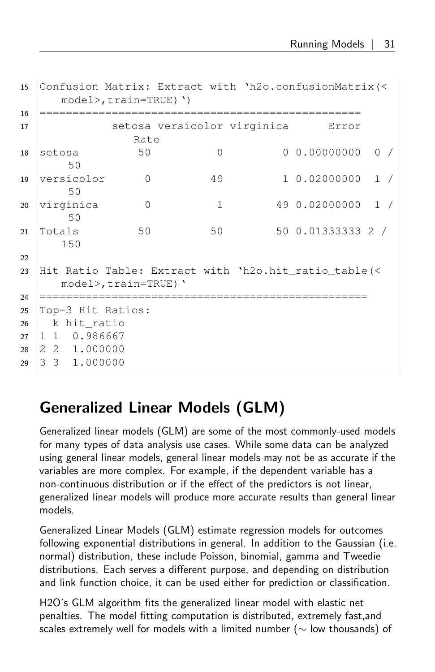```
15 Confusion Matrix: Extract with 'h2o.confusionMatrix(<
     model>,train=TRUE)')
16 =================================================
17 Setosa versicolor virginica Error
              Rate
18 setosa 50 0 0 0.00000000 0 /
      50
19 versicolor 0 49 1 0.02000000 1 /
      50
20 virginica 0 1 49 0.02000000 1 /
      50
21 Totals 50 50 50 0.01333333 2 /
     150
22
23 Hit Ratio Table: Extract with 'h2o.hit_ratio_table(<
     model>,train=TRUE)'
24 ==================================================
25 Top-3 Hit Ratios:
26 k hit ratio
27 1 1 0.986667
28 2 2 1.000000
29 3 3 1.000000
```
## <span id="page-30-0"></span>Generalized Linear Models (GLM)

Generalized linear models (GLM) are some of the most commonly-used models for many types of data analysis use cases. While some data can be analyzed using general linear models, general linear models may not be as accurate if the variables are more complex. For example, if the dependent variable has a non-continuous distribution or if the effect of the predictors is not linear, generalized linear models will produce more accurate results than general linear models.

Generalized Linear Models (GLM) estimate regression models for outcomes following exponential distributions in general. In addition to the Gaussian (i.e. normal) distribution, these include Poisson, binomial, gamma and Tweedie distributions. Each serves a different purpose, and depending on distribution and link function choice, it can be used either for prediction or classification.

H2O's GLM algorithm fits the generalized linear model with elastic net penalties. The model fitting computation is distributed, extremely fast,and scales extremely well for models with a limited number ( $\sim$  low thousands) of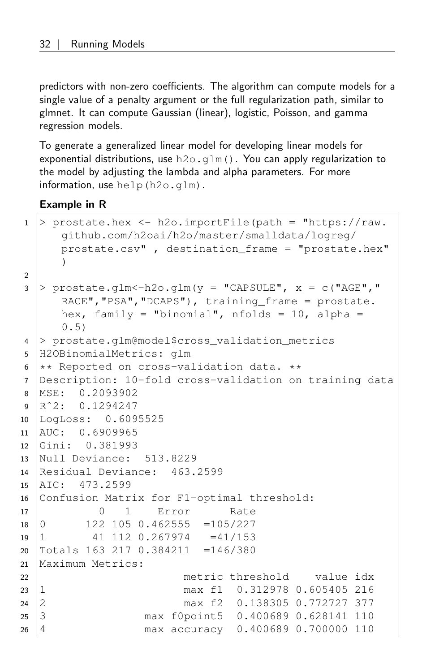predictors with non-zero coefficients. The algorithm can compute models for a single value of a penalty argument or the full regularization path, similar to glmnet. It can compute Gaussian (linear), logistic, Poisson, and gamma regression models.

To generate a generalized linear model for developing linear models for exponential distributions, use  $h2o$ .  $g1m()$ . You can apply regularization to the model by adjusting the lambda and alpha parameters. For more information, use help(h2o.glm).

```
1 > prostate.hex <- h2o.importFile(path = "https://raw.
     github.com/h2oai/h2o/master/smalldata/logreg/
     prostate.csv" , destination_frame = "prostate.hex"
     )
2
3 > prostate.glm < -h2o.glm (y = "CAPSULE", x = c ("AGE","
     RACE", "PSA", "DCAPS"), training_frame = prostate.
     hex, family = "binomial", nfolds = 10, alpha =
     0.5)
4 > prostate.glm@model$cross_validation_metrics
5 H2OBinomialMetrics: glm
6 \mid * \ast Reported on cross-validation data. **7 Description: 10-fold cross-validation on training data
8 MSE: 0.2093902
9 \mid R^2: 0.1294247
10 LogLoss: 0.6095525
11 AUC: 0.6909965
12 Gini: 0.381993
13 Null Deviance: 513.8229
14 Residual Deviance: 463.2599
15 AIC: 473.2599
16 Confusion Matrix for F1-optimal threshold:
17 0 1 Error Rate
18 \mid 0 122 105 0.462555 = 105/227
19 \mid 1 41 112 0.267974 =41/153
20 Totals 163 217 0.384211 =146/380
21 Maximum Metrics:
22 metric threshold value idx
23 1 max f1 0.312978 0.605405 216
24 2 max f2 0.138305 0.772727 377
25 3 max f0point5 0.400689 0.628141 110
26 4 max accuracy 0.400689 0.700000 110
```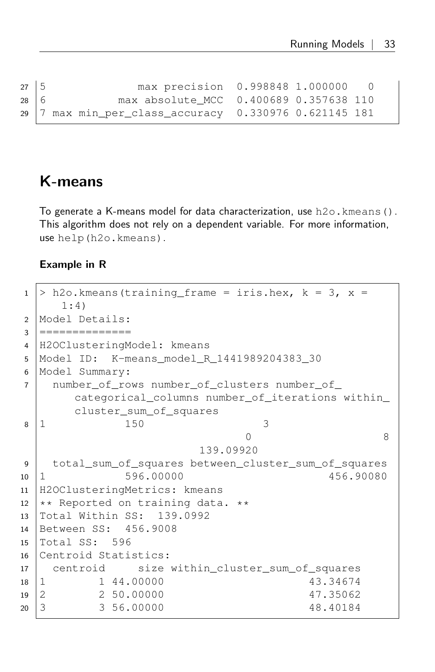```
27 5 max precision 0.998848 1.000000 0
28 6 max absolute_MCC 0.400689 0.357638 110
29 7 max min_per_class_accuracy 0.330976 0.621145 181
```
### <span id="page-32-0"></span>K-means

To generate a K-means model for data characterization, use h2o.kmeans(). This algorithm does not rely on a dependent variable. For more information, use help(h2o.kmeans).

```
1 > h2o.kmeans(training_frame = iris.hex, k = 3, x =1:4)
2 Model Details:
3 ===============
4 H2OClusteringModel: kmeans
5 Model ID: K-means_model_R_1441989204383_30
6 Model Summary:
7 number_of_rows number_of_clusters number_of_
      categorical columns number of iterations within
      cluster_sum_of_squares
8 \mid 1 150 3
                            0 8
                      139.09920
9 total_sum_of_squares between_cluster_sum_of_squares
10 1 596.00000 456.90080
11 H2OClusteringMetrics: kmeans
12 \star\star Reported on training data. \star\star13 Total Within SS: 139.0992
14 Between SS: 456.9008
15 Total SS: 596
16 Centroid Statistics:
17 centroid size within_cluster_sum_of_squares
18 1 1 44.00000 43.34674
19 2 2 50.00000 47.35062
20 3 3 56.00000 48.40184
```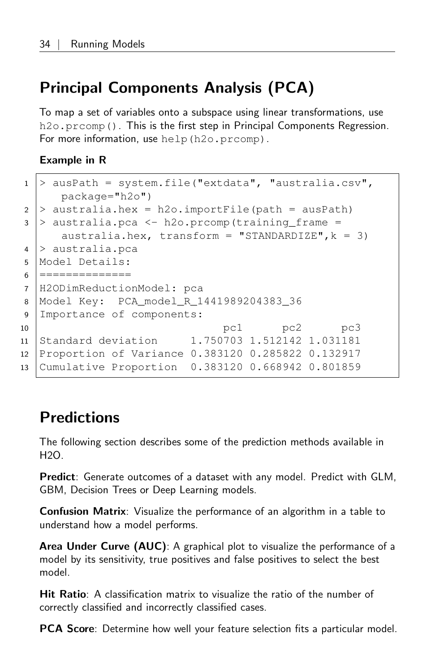## Principal Components Analysis (PCA)

To map a set of variables onto a subspace using linear transformations, use h2o.prcomp(). This is the first step in Principal Components Regression. For more information, use help (h2o.prcomp).

#### Example in R

| $1 \vert$      | > ausPath = system.file("extdata", "australia.csv",   |  |  |  |
|----------------|-------------------------------------------------------|--|--|--|
|                | $package="h2o")$                                      |  |  |  |
|                | 2 > australia.hex = $h2o$ .importFile(path = ausPath) |  |  |  |
| $3-1$          | > australia.pca <- h2o.prcomp(training frame =        |  |  |  |
|                | australia.hex, transform = "STANDARDIZE", $k = 3$ )   |  |  |  |
|                | $4$ > australia.pca                                   |  |  |  |
| 5              | Model Details:                                        |  |  |  |
| 6              | =========                                             |  |  |  |
| $\overline{7}$ | H2ODimReductionModel: pca                             |  |  |  |
| 8              | Model Key: PCA model R 1441989204383 36               |  |  |  |
| 9              | Importance of components:                             |  |  |  |
| 10             | pc1 pc2 pc3                                           |  |  |  |
| 11             | Standard deviation 1.750703 1.512142 1.031181         |  |  |  |
| 12             | Proportion of Variance 0.383120 0.285822 0.132917     |  |  |  |
| 13             | Cumulative Proportion 0.383120 0.668942 0.801859      |  |  |  |
|                |                                                       |  |  |  |

## <span id="page-33-0"></span>**Predictions**

The following section describes some of the prediction methods available in  $H2O.$ 

Predict: Generate outcomes of a dataset with any model. Predict with GLM, GBM, Decision Trees or Deep Learning models.

Confusion Matrix: Visualize the performance of an algorithm in a table to understand how a model performs.

Area Under Curve (AUC): A graphical plot to visualize the performance of a model by its sensitivity, true positives and false positives to select the best model.

Hit Ratio: A classification matrix to visualize the ratio of the number of correctly classified and incorrectly classified cases.

PCA Score: Determine how well your feature selection fits a particular model.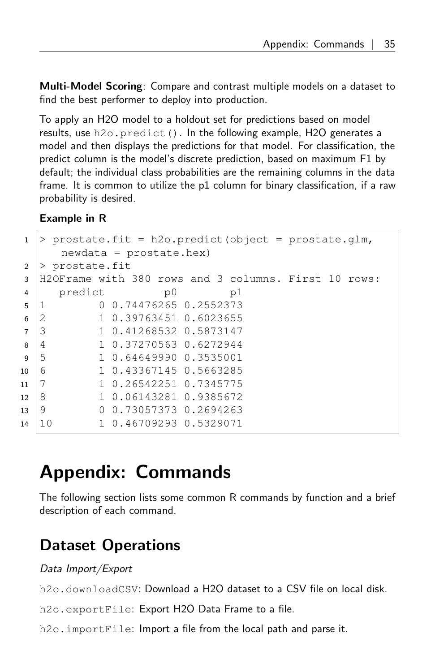Multi-Model Scoring: Compare and contrast multiple models on a dataset to find the best performer to deploy into production.

To apply an H2O model to a holdout set for predictions based on model results, use h2o.predict(). In the following example, H2O generates a model and then displays the predictions for that model. For classification, the predict column is the model's discrete prediction, based on maximum F1 by default; the individual class probabilities are the remaining columns in the data frame. It is common to utilize the p1 column for binary classification, if a raw probability is desired.

#### Example in R

| $\mathbf{1}$   | > prostate.fit = h2o.predict(object = prostate.glm,  |    |
|----------------|------------------------------------------------------|----|
|                | $newdata = prostate.hex)$                            |    |
| 2              | > prostate.fit                                       |    |
| 3              | H2OFrame with 380 rows and 3 columns. First 10 rows: |    |
| 4              | predict<br>p0                                        | p1 |
| 5              | 0 0.74476265 0.2552373<br>-1                         |    |
| 6              | $\mathfrak{D}$<br>1 0.39763451 0.6023655             |    |
| $\overline{7}$ | 3<br>1 0.41268532 0.5873147                          |    |
| 8              | 1 0.37270563 0.6272944<br>$\overline{4}$             |    |
| $\mathbf{Q}$   | 5<br>1 0.64649990 0.3535001                          |    |
|                | 6<br>1 0.43367145 0.5663285<br>10                    |    |
|                | 7<br>1 0.26542251 0.7345775<br>11                    |    |
|                | 8<br>1 0.06143281 0.9385672<br>12                    |    |
|                | 9<br>0 0.73057373 0.2694263<br>13                    |    |
|                | 1 0.46709293 0.5329071<br>10<br>14                   |    |
|                |                                                      |    |

# <span id="page-34-0"></span>Appendix: Commands

The following section lists some common R commands by function and a brief description of each command.

## <span id="page-34-1"></span>Dataset Operations

#### Data Import/Export

h<sub>20</sub>, downloadCSV: Download a H<sub>2</sub>O dataset to a CSV file on local disk.

h2o.exportFile: Export H2O Data Frame to a file.

h2o. importFile: Import a file from the local path and parse it.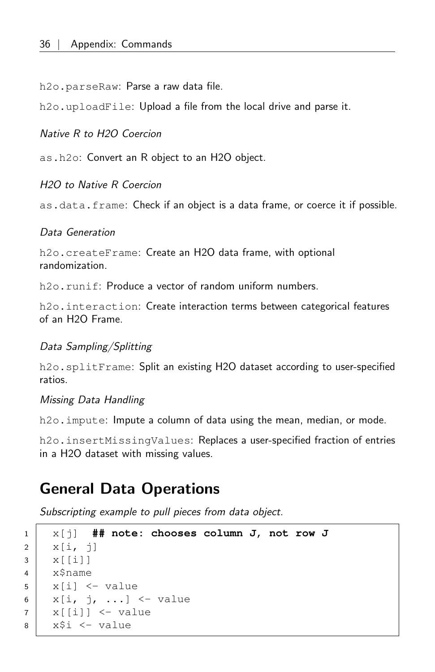h2o.parseRaw: Parse a raw data file.

h2o.uploadFile: Upload a file from the local drive and parse it.

#### Native R to H2O Coercion

as.h2o: Convert an R object to an H2O object.

#### H2O to Native R Coercion

as.data.frame: Check if an object is a data frame, or coerce it if possible.

#### Data Generation

h2o.createFrame: Create an H2O data frame, with optional randomization.

h2o.runif: Produce a vector of random uniform numbers.

h2o. interaction: Create interaction terms between categorical features of an H2O Frame.

#### Data Sampling/Splitting

h2o.splitFrame: Split an existing H2O dataset according to user-specified ratios.

#### Missing Data Handling

h<sub>20</sub>. impute: Impute a column of data using the mean, median, or mode.

<span id="page-35-0"></span>h2o.insertMissingValues: Replaces a user-specified fraction of entries in a H2O dataset with missing values.

### General Data Operations

Subscripting example to pull pieces from data object.

```
1 x[j] ## note: chooses column J, not row J
2 | x[i, j]3 \mid x[[i]]4 x$name
5 \mid x[i] \le - value
6 | x[i, j, ...] <- value
7 \mid x[[i]] \leq value
8 x$i <- value
```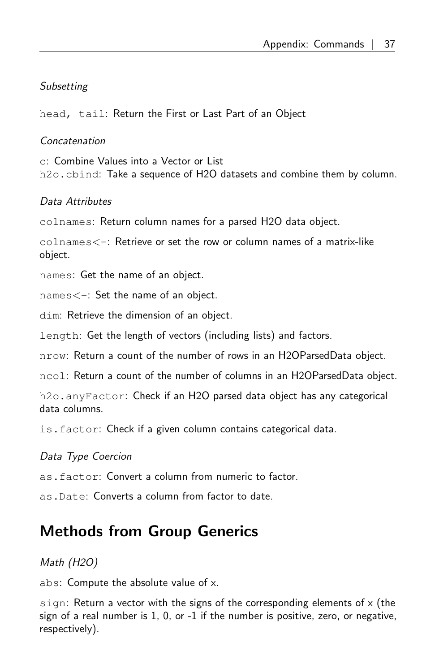#### **Subsetting**

head, tail: Return the First or Last Part of an Object

#### Concatenation

c: Combine Values into a Vector or List h2o.cbind: Take a sequence of H2O datasets and combine them by column.

#### Data Attributes

colnames: Return column names for a parsed H2O data object.

colnames<-: Retrieve or set the row or column names of a matrix-like object.

names: Get the name of an object.

names<-: Set the name of an object.

dim: Retrieve the dimension of an object.

length: Get the length of vectors (including lists) and factors.

nrow: Return a count of the number of rows in an H2OParsedData object.

ncol: Return a count of the number of columns in an H2OParsedData object.

h2o.anyFactor: Check if an H2O parsed data object has any categorical data columns.

is.factor: Check if a given column contains categorical data.

#### Data Type Coercion

as.factor: Convert a column from numeric to factor.

<span id="page-36-0"></span>as.Date: Converts a column from factor to date.

## Methods from Group Generics

Math (H2O)

abs: Compute the absolute value of x.

sign: Return a vector with the signs of the corresponding elements of  $x$  (the sign of a real number is 1, 0, or -1 if the number is positive, zero, or negative, respectively).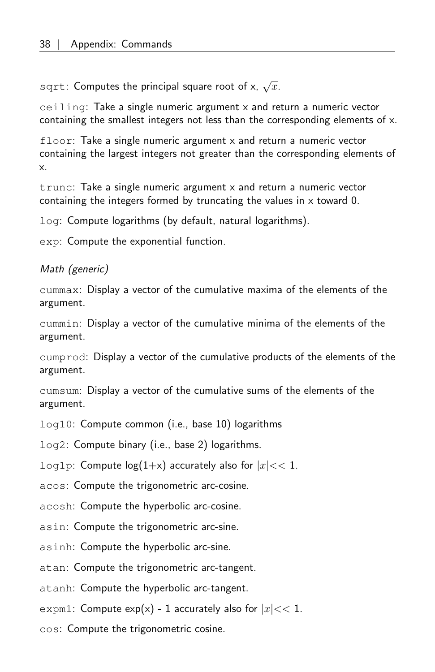$\mathop{\rm sqrt}\nolimits$ : Computes the principal square root of x,  $\sqrt{x}.$ 

ceiling: Take a single numeric argument  $x$  and return a numeric vector containing the smallest integers not less than the corresponding elements of x.

floor: Take a single numeric argument x and return a numeric vector containing the largest integers not greater than the corresponding elements of x.

trunc: Take a single numeric argument x and return a numeric vector containing the integers formed by truncating the values in x toward 0.

log: Compute logarithms (by default, natural logarithms).

exp: Compute the exponential function.

#### Math (generic)

cummax: Display a vector of the cumulative maxima of the elements of the argument.

cummin: Display a vector of the cumulative minima of the elements of the argument.

cumprod: Display a vector of the cumulative products of the elements of the argument.

cumsum: Display a vector of the cumulative sums of the elements of the argument.

log10: Compute common (i.e., base 10) logarithms

log2: Compute binary (i.e., base 2) logarithms.

log1p: Compute  $log(1+x)$  accurately also for  $|x| << 1$ .

acos: Compute the trigonometric arc-cosine.

acosh: Compute the hyperbolic arc-cosine.

asin: Compute the trigonometric arc-sine.

asinh: Compute the hyperbolic arc-sine.

atan: Compute the trigonometric arc-tangent.

atanh: Compute the hyperbolic arc-tangent.

expm1: Compute  $exp(x)$  - 1 accurately also for  $|x| << 1$ .

cos: Compute the trigonometric cosine.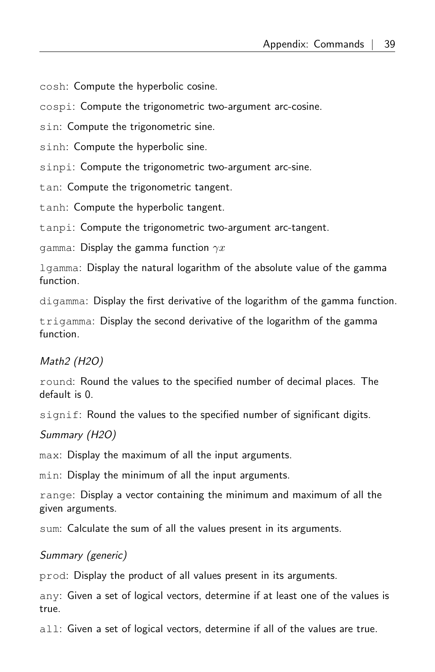cosh: Compute the hyperbolic cosine.

cospi: Compute the trigonometric two-argument arc-cosine.

sin: Compute the trigonometric sine.

sinh: Compute the hyperbolic sine.

sinpi: Compute the trigonometric two-argument arc-sine.

tan: Compute the trigonometric tangent.

tanh: Compute the hyperbolic tangent.

tanpi: Compute the trigonometric two-argument arc-tangent.

gamma: Display the gamma function  $\gamma x$ 

lgamma: Display the natural logarithm of the absolute value of the gamma function.

digamma: Display the first derivative of the logarithm of the gamma function.

trigamma: Display the second derivative of the logarithm of the gamma function.

Math2 (H2O)

round: Round the values to the specified number of decimal places. The default is 0.

signif: Round the values to the specified number of significant digits.

Summary (H2O)

max: Display the maximum of all the input arguments.

min: Display the minimum of all the input arguments.

range: Display a vector containing the minimum and maximum of all the given arguments.

sum: Calculate the sum of all the values present in its arguments.

#### Summary (generic)

prod: Display the product of all values present in its arguments.

any: Given a set of logical vectors, determine if at least one of the values is true.

<span id="page-38-0"></span>all: Given a set of logical vectors, determine if all of the values are true.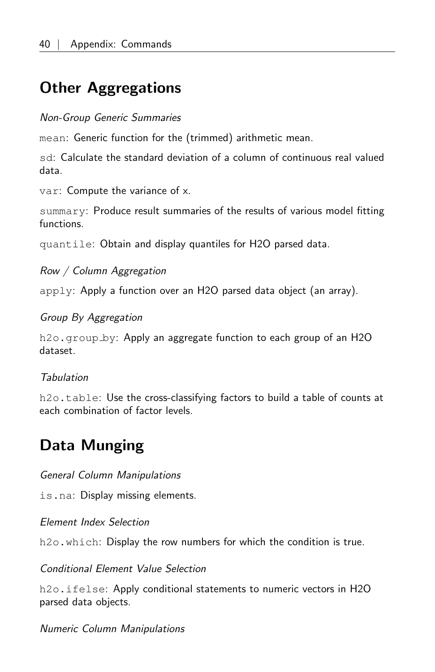## Other Aggregations

#### Non-Group Generic Summaries

mean: Generic function for the (trimmed) arithmetic mean.

sd: Calculate the standard deviation of a column of continuous real valued data.

var: Compute the variance of x.

summary: Produce result summaries of the results of various model fitting functions.

quantile: Obtain and display quantiles for H2O parsed data.

Row / Column Aggregation

apply: Apply a function over an H2O parsed data object (an array).

#### Group By Aggregation

h2o.group by: Apply an aggregate function to each group of an H2O dataset.

#### **Tabulation**

<span id="page-39-0"></span>h2o.table: Use the cross-classifying factors to build a table of counts at each combination of factor levels.

## Data Munging

General Column Manipulations

is.na: Display missing elements.

Element Index Selection

h2o.which: Display the row numbers for which the condition is true.

#### Conditional Element Value Selection

h<sub>2o</sub>.ifelse: Apply conditional statements to numeric vectors in H<sub>2</sub>O parsed data objects.

Numeric Column Manipulations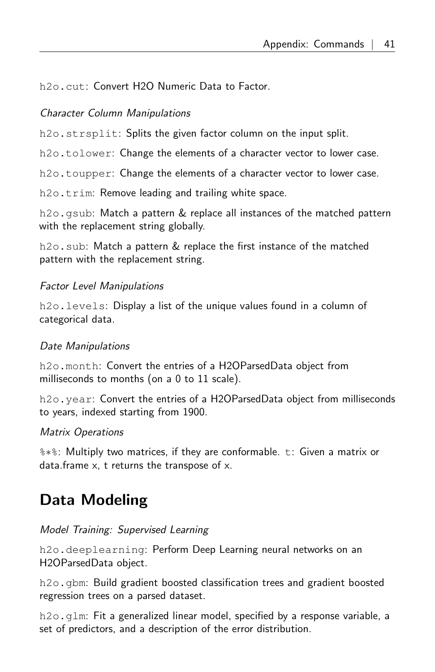h2o.cut: Convert H2O Numeric Data to Factor.

#### Character Column Manipulations

h<sub>2</sub>o.strsplit: Splits the given factor column on the input split.

h2o.tolower: Change the elements of a character vector to lower case.

h2o.toupper: Change the elements of a character vector to lower case.

h<sub>2</sub>o.trim: Remove leading and trailing white space.

h2o.gsub: Match a pattern & replace all instances of the matched pattern with the replacement string globally.

h2o.sub: Match a pattern & replace the first instance of the matched pattern with the replacement string.

#### Factor Level Manipulations

h2o. levels: Display a list of the unique values found in a column of categorical data.

#### Date Manipulations

h2o.month: Convert the entries of a H2OParsedData object from milliseconds to months (on a 0 to 11 scale).

h2o.year: Convert the entries of a H2OParsedData object from milliseconds to years, indexed starting from 1900.

#### Matrix Operations

%∗%: Multiply two matrices, if they are conformable. t: Given a matrix or data.frame x, t returns the transpose of x.

## <span id="page-40-0"></span>Data Modeling

#### Model Training: Supervised Learning

h2o.deeplearning: Perform Deep Learning neural networks on an H2OParsedData object.

h2o.gbm: Build gradient boosted classification trees and gradient boosted regression trees on a parsed dataset.

h2o.glm: Fit a generalized linear model, specified by a response variable, a set of predictors, and a description of the error distribution.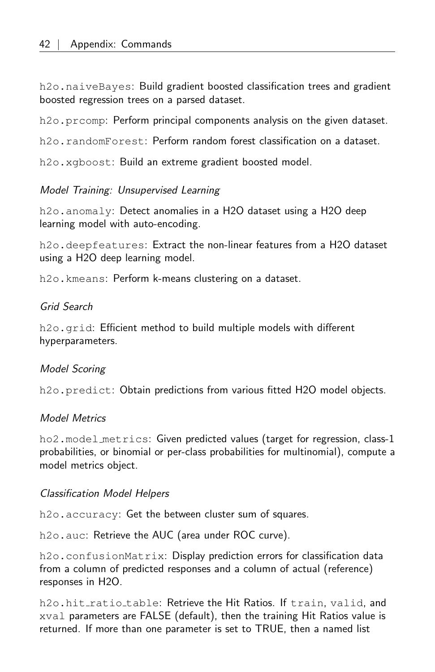h2o.naiveBayes: Build gradient boosted classification trees and gradient boosted regression trees on a parsed dataset.

h<sub>20</sub>, prcomp: Perform principal components analysis on the given dataset.

h2o.randomForest: Perform random forest classification on a dataset.

h2o.xgboost: Build an extreme gradient boosted model.

#### Model Training: Unsupervised Learning

h2o.anomaly: Detect anomalies in a H2O dataset using a H2O deep learning model with auto-encoding.

h2o.deepfeatures: Extract the non-linear features from a H2O dataset using a H2O deep learning model.

h2o.kmeans: Perform k-means clustering on a dataset.

#### Grid Search

h2o.grid: Efficient method to build multiple models with different hyperparameters.

#### Model Scoring

h2o.predict: Obtain predictions from various fitted H2O model objects.

#### Model Metrics

ho2.model metrics: Given predicted values (target for regression, class-1 probabilities, or binomial or per-class probabilities for multinomial), compute a model metrics object.

#### Classification Model Helpers

h2o.accuracy: Get the between cluster sum of squares.

h2o.auc: Retrieve the AUC (area under ROC curve).

h2o.confusionMatrix: Display prediction errors for classification data from a column of predicted responses and a column of actual (reference) responses in H2O.

h2o.hit ratio table: Retrieve the Hit Ratios. If train, valid, and xval parameters are FALSE (default), then the training Hit Ratios value is returned. If more than one parameter is set to TRUE, then a named list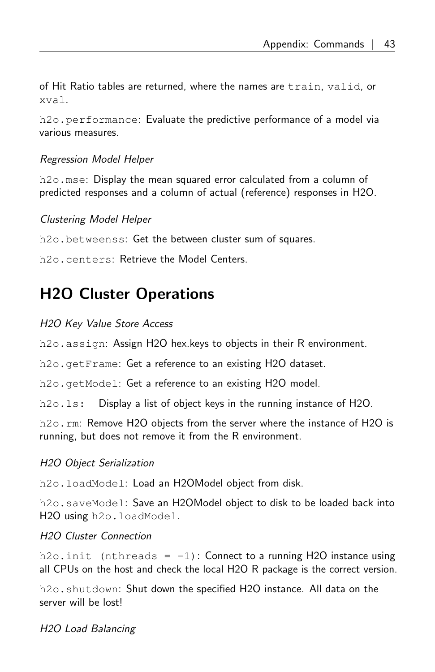of Hit Ratio tables are returned, where the names are train, valid, or xval.

h2o.performance: Evaluate the predictive performance of a model via various measures.

#### Regression Model Helper

h<sub>2</sub>o.mse: Display the mean squared error calculated from a column of predicted responses and a column of actual (reference) responses in H2O.

#### Clustering Model Helper

h2o.betweenss: Get the between cluster sum of squares.

<span id="page-42-0"></span>h2o.centers: Retrieve the Model Centers.

## H2O Cluster Operations

#### H2O Key Value Store Access

h2o.assign: Assign H2O hex.keys to objects in their R environment.

h2o.getFrame: Get a reference to an existing H2O dataset.

h2o.getModel: Get a reference to an existing H2O model.

h2o.ls: Display a list of object keys in the running instance of H2O.

h2o.rm: Remove H2O objects from the server where the instance of H2O is running, but does not remove it from the R environment.

#### H2O Object Serialization

h2o.loadModel: Load an H2OModel object from disk.

h2o.saveModel: Save an H2OModel object to disk to be loaded back into H2O using h2o.loadModel.

#### H2O Cluster Connection

 $h2\circ$ . init (nthreads = -1): Connect to a running H2O instance using all CPUs on the host and check the local H2O R package is the correct version.

h2o.shutdown: Shut down the specified H2O instance. All data on the server will be lost!

H2O Load Balancing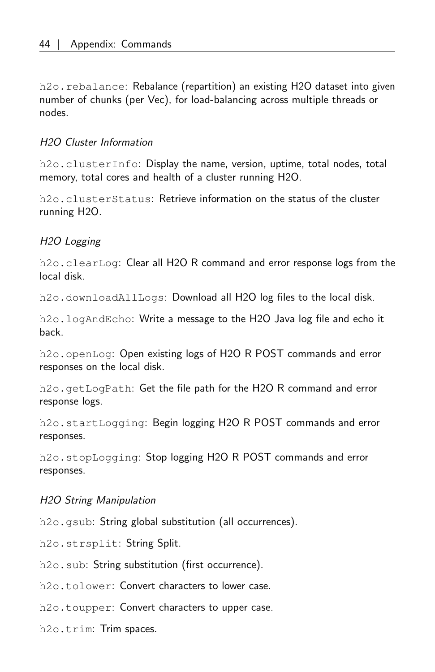h2o.rebalance: Rebalance (repartition) an existing H2O dataset into given number of chunks (per Vec), for load-balancing across multiple threads or nodes.

#### H2O Cluster Information

h2o.clusterInfo: Display the name, version, uptime, total nodes, total memory, total cores and health of a cluster running H2O.

h<sub>20</sub>.clusterStatus: Retrieve information on the status of the cluster running H2O.

#### H2O Logging

h2o.clearLog: Clear all H2O R command and error response logs from the local disk.

h2o.downloadAllLogs: Download all H2O log files to the local disk.

h2o.logAndEcho: Write a message to the H2O Java log file and echo it back.

h2o.openLog: Open existing logs of H2O R POST commands and error responses on the local disk.

h2o.getLogPath: Get the file path for the H2O R command and error response logs.

h2o.startLogging: Begin logging H2O R POST commands and error responses.

h2o.stopLogging: Stop logging H2O R POST commands and error responses.

#### H2O String Manipulation

h2o.gsub: String global substitution (all occurrences).

h2o.strsplit: String Split.

h2o.sub: String substitution (first occurrence).

h<sub>2</sub>o.tolower: Convert characters to lower case.

h<sub>2</sub>o.toupper: Convert characters to upper case.

<span id="page-43-0"></span>h2o.trim: Trim spaces.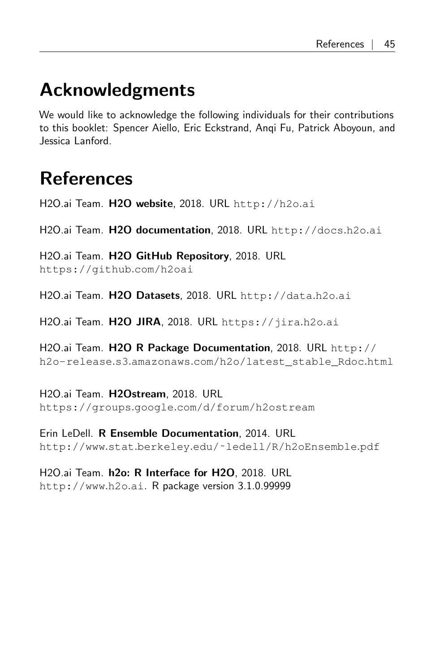# Acknowledgments

We would like to acknowledge the following individuals for their contributions to this booklet: Spencer Aiello, Eric Eckstrand, Anqi Fu, Patrick Aboyoun, and Jessica Lanford.

# <span id="page-44-0"></span>References

H2O.ai Team. H2O website, 2018. URL [http://h2o](http://h2o.ai).ai

H2O.ai Team. H2O documentation, 2018. URL [http://docs](http://docs.h2o.ai).h2o.ai

H2O.ai Team. H2O GitHub Repository, 2018. URL [https://github](https://github.com/h2oai).com/h2oai

H2O.ai Team. H2O Datasets, 2018. URL [http://data](http://data.h2o.ai).h2o.ai

H2O.ai Team. H2O JIRA, 2018. URL [https://jira](https://jira.h2o.ai).h2o.ai

H2O.ai Team. H2O R Package Documentation, 2018. URL [http://](http://h2o-release.s3.amazonaws.com/h2o/latest_stable_Rdoc.html) h2o-release.s3.amazonaws.[com/h2o/latest\\_stable\\_Rdoc](http://h2o-release.s3.amazonaws.com/h2o/latest_stable_Rdoc.html).html

H2O.ai Team. H2Ostream, 2018. URL https://groups.google.[com/d/forum/h2ostream](https://groups.google.com/d/forum/h2ostream)

Erin LeDell. R Ensemble Documentation, 2014. URL http://www.stat.berkeley.[edu/˜ledell/R/h2oEnsemble](http://www.stat.berkeley.edu/~ledell/R/h2oEnsemble.pdf).pdf

H2O.ai Team. h2o: R Interface for H2O, 2018. URL [http://www](http://www.h2o.ai).h2o.ai. R package version 3.1.0.99999